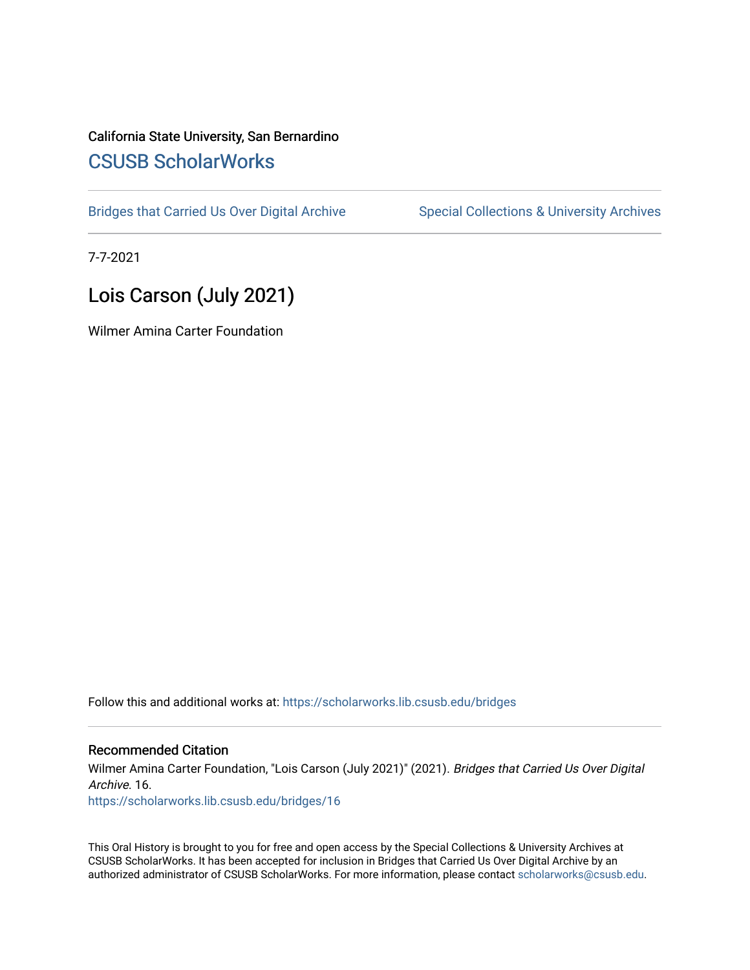## California State University, San Bernardino [CSUSB ScholarWorks](https://scholarworks.lib.csusb.edu/)

[Bridges that Carried Us Over Digital Archive](https://scholarworks.lib.csusb.edu/bridges) Special Collections & University Archives

7-7-2021

# Lois Carson (July 2021)

Wilmer Amina Carter Foundation

Follow this and additional works at: [https://scholarworks.lib.csusb.edu/bridges](https://scholarworks.lib.csusb.edu/bridges?utm_source=scholarworks.lib.csusb.edu%2Fbridges%2F16&utm_medium=PDF&utm_campaign=PDFCoverPages) 

#### Recommended Citation

Wilmer Amina Carter Foundation, "Lois Carson (July 2021)" (2021). Bridges that Carried Us Over Digital Archive. 16.

[https://scholarworks.lib.csusb.edu/bridges/16](https://scholarworks.lib.csusb.edu/bridges/16?utm_source=scholarworks.lib.csusb.edu%2Fbridges%2F16&utm_medium=PDF&utm_campaign=PDFCoverPages)

This Oral History is brought to you for free and open access by the Special Collections & University Archives at CSUSB ScholarWorks. It has been accepted for inclusion in Bridges that Carried Us Over Digital Archive by an authorized administrator of CSUSB ScholarWorks. For more information, please contact [scholarworks@csusb.edu.](mailto:scholarworks@csusb.edu)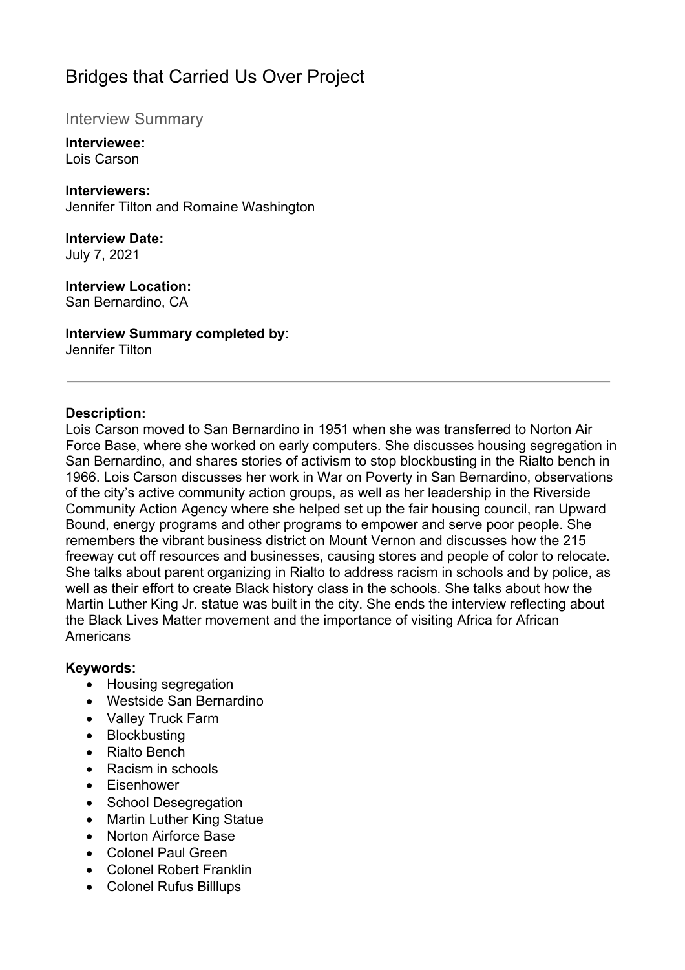# Bridges that Carried Us Over Project

## Interview Summary

#### **Interviewee:**  Lois Carson

**Interviewers:**  Jennifer Tilton and Romaine Washington

## **Interview Date:**

July 7, 2021

## **Interview Location:**

San Bernardino, CA

## **Interview Summary completed by**:

Jennifer Tilton

### **Description:**

Lois Carson moved to San Bernardino in 1951 when she was transferred to Norton Air Force Base, where she worked on early computers. She discusses housing segregation in San Bernardino, and shares stories of activism to stop blockbusting in the Rialto bench in 1966. Lois Carson discusses her work in War on Poverty in San Bernardino, observations of the city's active community action groups, as well as her leadership in the Riverside Community Action Agency where she helped set up the fair housing council, ran Upward Bound, energy programs and other programs to empower and serve poor people. She remembers the vibrant business district on Mount Vernon and discusses how the 215 freeway cut off resources and businesses, causing stores and people of color to relocate. She talks about parent organizing in Rialto to address racism in schools and by police, as well as their effort to create Black history class in the schools. She talks about how the Martin Luther King Jr. statue was built in the city. She ends the interview reflecting about the Black Lives Matter movement and the importance of visiting Africa for African **Americans** 

#### **Keywords:**

- Housing segregation
- Westside San Bernardino
- Valley Truck Farm
- Blockbusting
- Rialto Bench
- Racism in schools
- Eisenhower
- School Desegregation
- Martin Luther King Statue
- Norton Airforce Base
- Colonel Paul Green
- Colonel Robert Franklin
- Colonel Rufus Billlups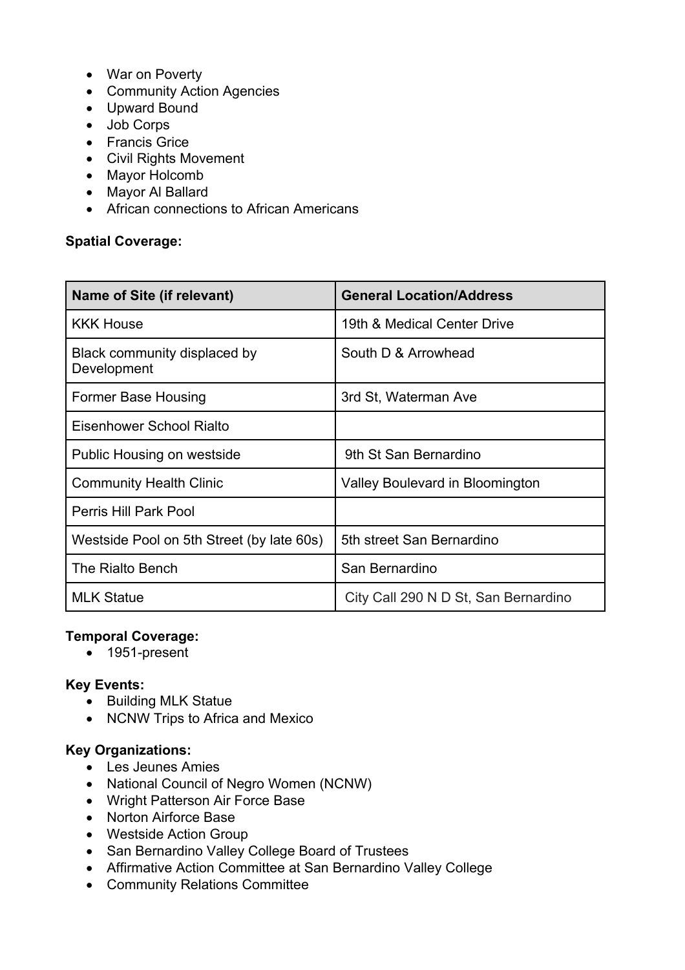- War on Poverty
- Community Action Agencies
- Upward Bound
- Job Corps
- Francis Grice
- Civil Rights Movement
- Mayor Holcomb
- Mayor Al Ballard
- African connections to African Americans

### **Spatial Coverage:**

| Name of Site (if relevant)                  | <b>General Location/Address</b>      |
|---------------------------------------------|--------------------------------------|
| <b>KKK House</b>                            | 19th & Medical Center Drive          |
| Black community displaced by<br>Development | South D & Arrowhead                  |
| Former Base Housing                         | 3rd St, Waterman Ave                 |
| Eisenhower School Rialto                    |                                      |
| Public Housing on westside                  | 9th St San Bernardino                |
| <b>Community Health Clinic</b>              | Valley Boulevard in Bloomington      |
| Perris Hill Park Pool                       |                                      |
| Westside Pool on 5th Street (by late 60s)   | 5th street San Bernardino            |
| The Rialto Bench                            | San Bernardino                       |
| <b>MLK Statue</b>                           | City Call 290 N D St, San Bernardino |

#### **Temporal Coverage:**

• 1951-present

## **Key Events:**

- Building MLK Statue
- NCNW Trips to Africa and Mexico

#### **Key Organizations:**

- Les Jeunes Amies
- National Council of Negro Women (NCNW)
- Wright Patterson Air Force Base
- Norton Airforce Base
- Westside Action Group
- San Bernardino Valley College Board of Trustees
- Affirmative Action Committee at San Bernardino Valley College
- Community Relations Committee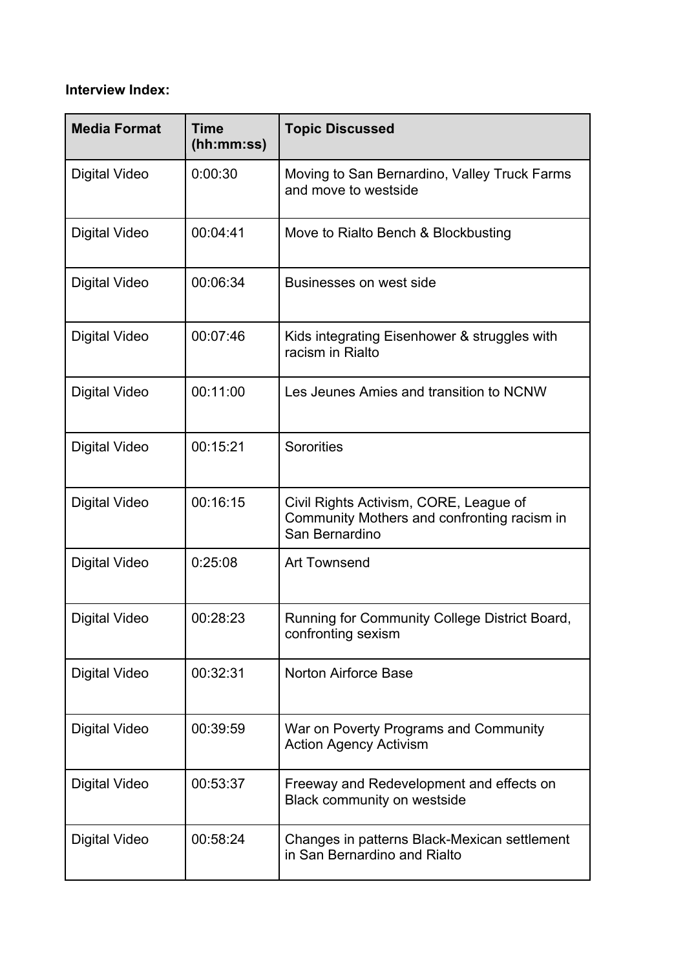## **Interview Index:**

| <b>Media Format</b>  | <b>Time</b><br>(hh:mm:ss) | <b>Topic Discussed</b>                                                                                  |
|----------------------|---------------------------|---------------------------------------------------------------------------------------------------------|
| <b>Digital Video</b> | 0:00:30                   | Moving to San Bernardino, Valley Truck Farms<br>and move to westside                                    |
| <b>Digital Video</b> | 00:04:41                  | Move to Rialto Bench & Blockbusting                                                                     |
| <b>Digital Video</b> | 00:06:34                  | Businesses on west side                                                                                 |
| Digital Video        | 00:07:46                  | Kids integrating Eisenhower & struggles with<br>racism in Rialto                                        |
| <b>Digital Video</b> | 00:11:00                  | Les Jeunes Amies and transition to NCNW                                                                 |
| Digital Video        | 00:15:21                  | Sororities                                                                                              |
| <b>Digital Video</b> | 00:16:15                  | Civil Rights Activism, CORE, League of<br>Community Mothers and confronting racism in<br>San Bernardino |
| Digital Video        | 0:25:08                   | <b>Art Townsend</b>                                                                                     |
| Digital Video        | 00:28:23                  | Running for Community College District Board,<br>confronting sexism                                     |
| <b>Digital Video</b> | 00:32:31                  | <b>Norton Airforce Base</b>                                                                             |
| <b>Digital Video</b> | 00:39:59                  | War on Poverty Programs and Community<br><b>Action Agency Activism</b>                                  |
| Digital Video        | 00:53:37                  | Freeway and Redevelopment and effects on<br>Black community on westside                                 |
| <b>Digital Video</b> | 00:58:24                  | Changes in patterns Black-Mexican settlement<br>in San Bernardino and Rialto                            |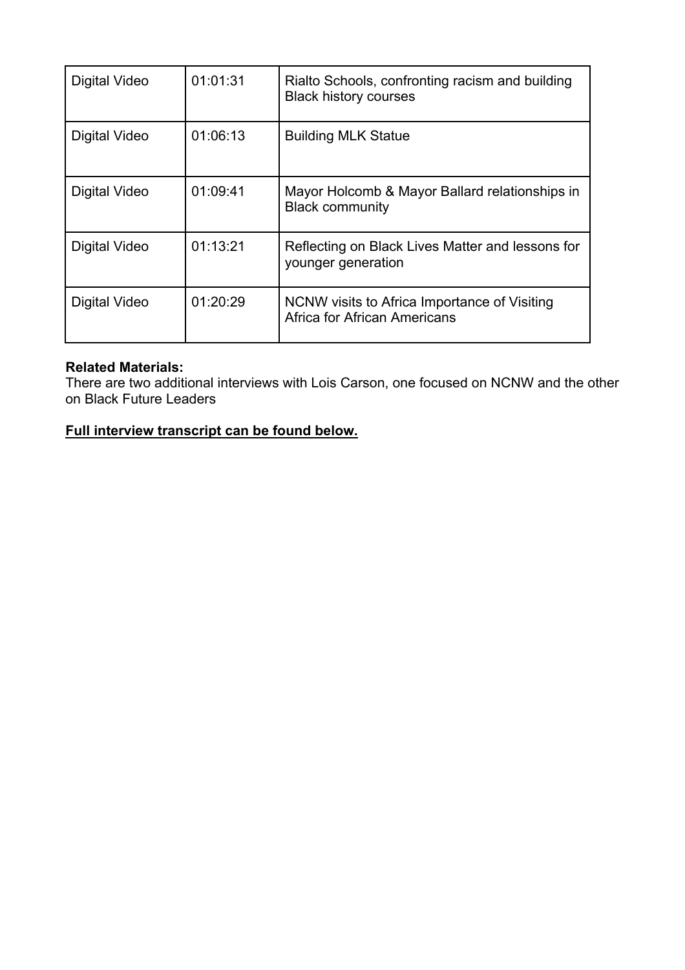| Digital Video | 01:01:31 | Rialto Schools, confronting racism and building<br><b>Black history courses</b> |
|---------------|----------|---------------------------------------------------------------------------------|
| Digital Video | 01:06:13 | <b>Building MLK Statue</b>                                                      |
| Digital Video | 01:09:41 | Mayor Holcomb & Mayor Ballard relationships in<br><b>Black community</b>        |
| Digital Video | 01:13:21 | Reflecting on Black Lives Matter and lessons for<br>younger generation          |
| Digital Video | 01:20:29 | NCNW visits to Africa Importance of Visiting<br>Africa for African Americans    |

#### **Related Materials:**

There are two additional interviews with Lois Carson, one focused on NCNW and the other on Black Future Leaders

## **Full interview transcript can be found below.**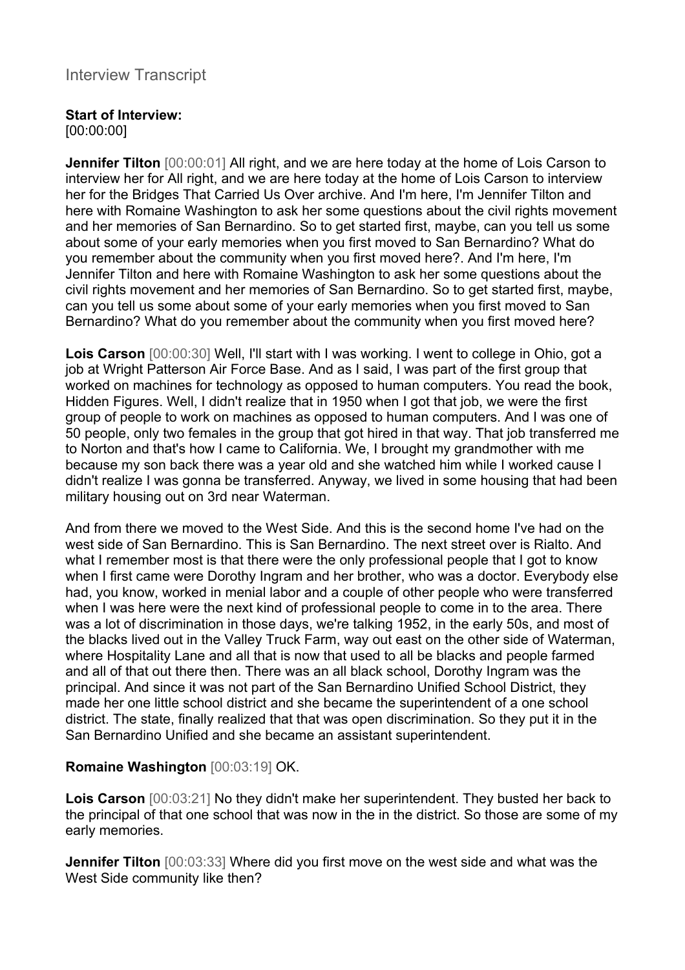## Interview Transcript

#### **Start of Interview:**

[00:00:00]

**Jennifer Tilton** [00:00:01] All right, and we are here today at the home of Lois Carson to interview her for All right, and we are here today at the home of Lois Carson to interview her for the Bridges That Carried Us Over archive. And I'm here, I'm Jennifer Tilton and here with Romaine Washington to ask her some questions about the civil rights movement and her memories of San Bernardino. So to get started first, maybe, can you tell us some about some of your early memories when you first moved to San Bernardino? What do you remember about the community when you first moved here?. And I'm here, I'm Jennifer Tilton and here with Romaine Washington to ask her some questions about the civil rights movement and her memories of San Bernardino. So to get started first, maybe, can you tell us some about some of your early memories when you first moved to San Bernardino? What do you remember about the community when you first moved here?

**Lois Carson** [00:00:30] Well, I'll start with I was working. I went to college in Ohio, got a job at Wright Patterson Air Force Base. And as I said, I was part of the first group that worked on machines for technology as opposed to human computers. You read the book, Hidden Figures. Well, I didn't realize that in 1950 when I got that job, we were the first group of people to work on machines as opposed to human computers. And I was one of 50 people, only two females in the group that got hired in that way. That job transferred me to Norton and that's how I came to California. We, I brought my grandmother with me because my son back there was a year old and she watched him while I worked cause I didn't realize I was gonna be transferred. Anyway, we lived in some housing that had been military housing out on 3rd near Waterman.

And from there we moved to the West Side. And this is the second home I've had on the west side of San Bernardino. This is San Bernardino. The next street over is Rialto. And what I remember most is that there were the only professional people that I got to know when I first came were Dorothy Ingram and her brother, who was a doctor. Everybody else had, you know, worked in menial labor and a couple of other people who were transferred when I was here were the next kind of professional people to come in to the area. There was a lot of discrimination in those days, we're talking 1952, in the early 50s, and most of the blacks lived out in the Valley Truck Farm, way out east on the other side of Waterman, where Hospitality Lane and all that is now that used to all be blacks and people farmed and all of that out there then. There was an all black school, Dorothy Ingram was the principal. And since it was not part of the San Bernardino Unified School District, they made her one little school district and she became the superintendent of a one school district. The state, finally realized that that was open discrimination. So they put it in the San Bernardino Unified and she became an assistant superintendent.

## **Romaine Washington** [00:03:19] OK.

**Lois Carson** [00:03:21] No they didn't make her superintendent. They busted her back to the principal of that one school that was now in the in the district. So those are some of my early memories.

**Jennifer Tilton** [00:03:33] Where did you first move on the west side and what was the West Side community like then?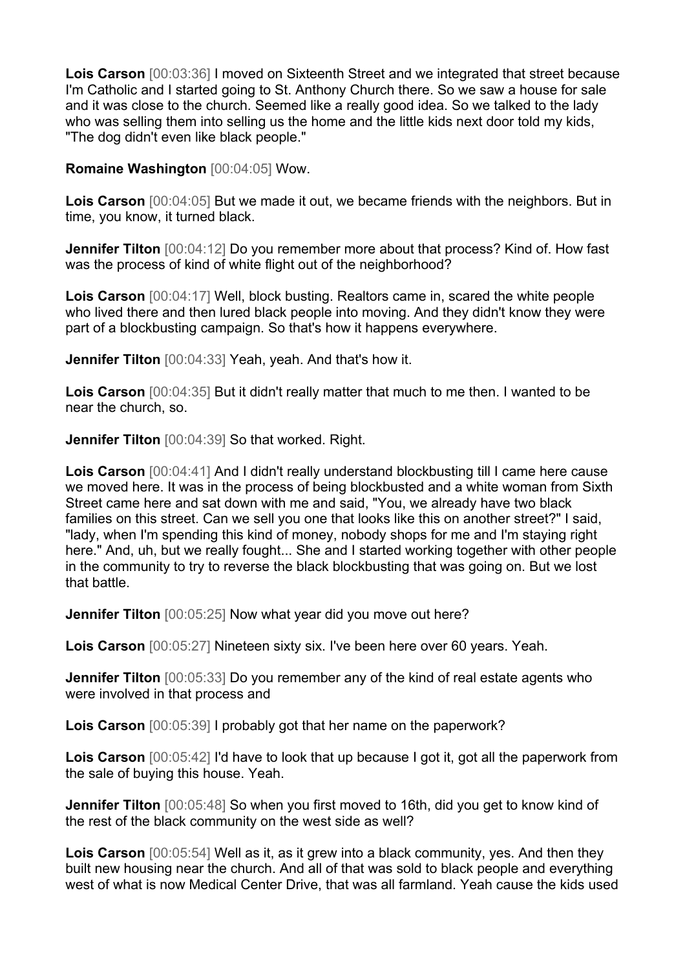**Lois Carson** [00:03:36] I moved on Sixteenth Street and we integrated that street because I'm Catholic and I started going to St. Anthony Church there. So we saw a house for sale and it was close to the church. Seemed like a really good idea. So we talked to the lady who was selling them into selling us the home and the little kids next door told my kids, "The dog didn't even like black people."

#### **Romaine Washington** [00:04:05] Wow.

**Lois Carson** [00:04:05] But we made it out, we became friends with the neighbors. But in time, you know, it turned black.

**Jennifer Tilton** [00:04:12] Do you remember more about that process? Kind of. How fast was the process of kind of white flight out of the neighborhood?

**Lois Carson** [00:04:17] Well, block busting. Realtors came in, scared the white people who lived there and then lured black people into moving. And they didn't know they were part of a blockbusting campaign. So that's how it happens everywhere.

**Jennifer Tilton** [00:04:33] Yeah, yeah. And that's how it.

**Lois Carson** [00:04:35] But it didn't really matter that much to me then. I wanted to be near the church, so.

**Jennifer Tilton** [00:04:39] So that worked. Right.

**Lois Carson** [00:04:41] And I didn't really understand blockbusting till I came here cause we moved here. It was in the process of being blockbusted and a white woman from Sixth Street came here and sat down with me and said, "You, we already have two black families on this street. Can we sell you one that looks like this on another street?" I said, "lady, when I'm spending this kind of money, nobody shops for me and I'm staying right here." And, uh, but we really fought... She and I started working together with other people in the community to try to reverse the black blockbusting that was going on. But we lost that battle.

**Jennifer Tilton** [00:05:25] Now what year did you move out here?

**Lois Carson** [00:05:27] Nineteen sixty six. I've been here over 60 years. Yeah.

**Jennifer Tilton**  $[00:05:33]$  Do you remember any of the kind of real estate agents who were involved in that process and

**Lois Carson** [00:05:39] I probably got that her name on the paperwork?

**Lois Carson** [00:05:42] I'd have to look that up because I got it, got all the paperwork from the sale of buying this house. Yeah.

**Jennifer Tilton** [00:05:48] So when you first moved to 16th, did you get to know kind of the rest of the black community on the west side as well?

**Lois Carson** [00:05:54] Well as it, as it grew into a black community, yes. And then they built new housing near the church. And all of that was sold to black people and everything west of what is now Medical Center Drive, that was all farmland. Yeah cause the kids used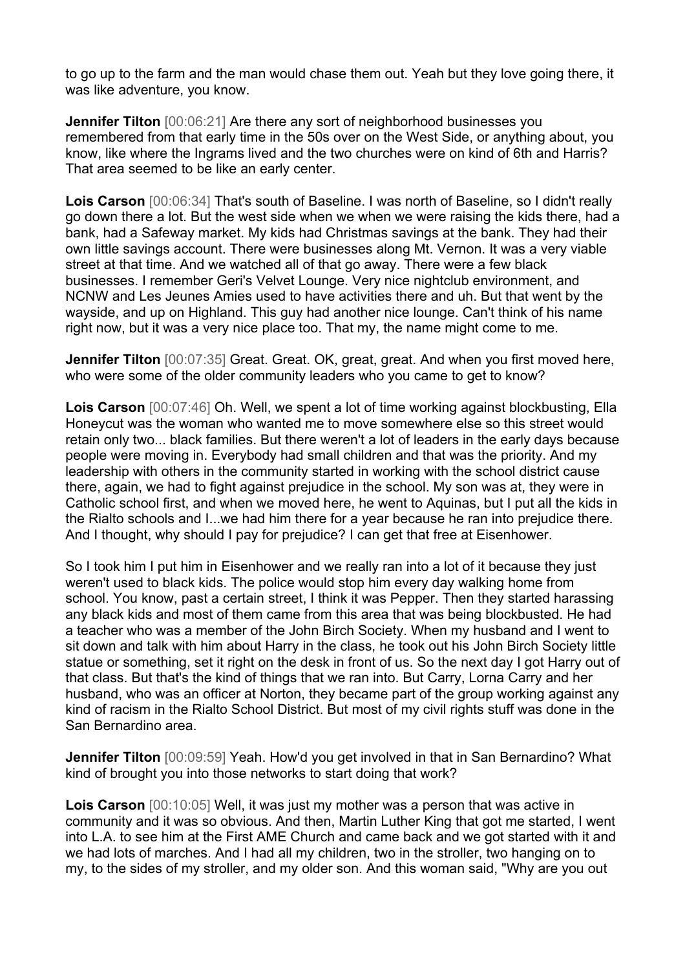to go up to the farm and the man would chase them out. Yeah but they love going there, it was like adventure, you know.

**Jennifer Tilton**  $[00:06:21]$  Are there any sort of neighborhood businesses you remembered from that early time in the 50s over on the West Side, or anything about, you know, like where the Ingrams lived and the two churches were on kind of 6th and Harris? That area seemed to be like an early center.

**Lois Carson** [00:06:34] That's south of Baseline. I was north of Baseline, so I didn't really go down there a lot. But the west side when we when we were raising the kids there, had a bank, had a Safeway market. My kids had Christmas savings at the bank. They had their own little savings account. There were businesses along Mt. Vernon. It was a very viable street at that time. And we watched all of that go away. There were a few black businesses. I remember Geri's Velvet Lounge. Very nice nightclub environment, and NCNW and Les Jeunes Amies used to have activities there and uh. But that went by the wayside, and up on Highland. This guy had another nice lounge. Can't think of his name right now, but it was a very nice place too. That my, the name might come to me.

**Jennifer Tilton** [00:07:35] Great. Great. OK, great, great. And when you first moved here, who were some of the older community leaders who you came to get to know?

**Lois Carson** [00:07:46] Oh. Well, we spent a lot of time working against blockbusting, Ella Honeycut was the woman who wanted me to move somewhere else so this street would retain only two... black families. But there weren't a lot of leaders in the early days because people were moving in. Everybody had small children and that was the priority. And my leadership with others in the community started in working with the school district cause there, again, we had to fight against prejudice in the school. My son was at, they were in Catholic school first, and when we moved here, he went to Aquinas, but I put all the kids in the Rialto schools and I...we had him there for a year because he ran into prejudice there. And I thought, why should I pay for prejudice? I can get that free at Eisenhower.

So I took him I put him in Eisenhower and we really ran into a lot of it because they just weren't used to black kids. The police would stop him every day walking home from school. You know, past a certain street, I think it was Pepper. Then they started harassing any black kids and most of them came from this area that was being blockbusted. He had a teacher who was a member of the John Birch Society. When my husband and I went to sit down and talk with him about Harry in the class, he took out his John Birch Society little statue or something, set it right on the desk in front of us. So the next day I got Harry out of that class. But that's the kind of things that we ran into. But Carry, Lorna Carry and her husband, who was an officer at Norton, they became part of the group working against any kind of racism in the Rialto School District. But most of my civil rights stuff was done in the San Bernardino area.

**Jennifer Tilton** [00:09:59] Yeah. How'd you get involved in that in San Bernardino? What kind of brought you into those networks to start doing that work?

**Lois Carson** [00:10:05] Well, it was just my mother was a person that was active in community and it was so obvious. And then, Martin Luther King that got me started, I went into L.A. to see him at the First AME Church and came back and we got started with it and we had lots of marches. And I had all my children, two in the stroller, two hanging on to my, to the sides of my stroller, and my older son. And this woman said, "Why are you out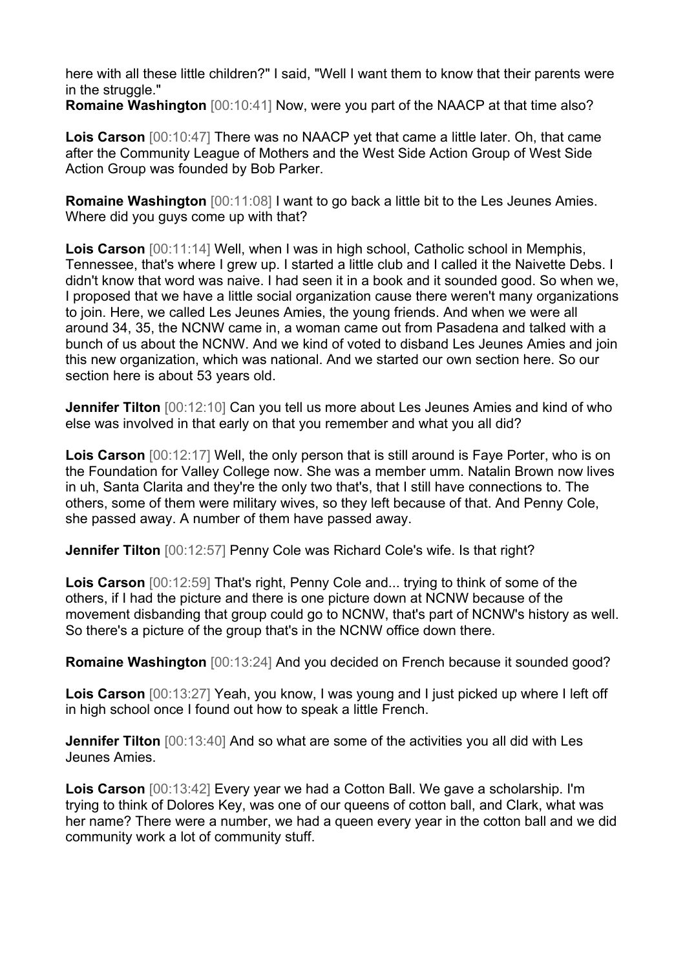here with all these little children?" I said, "Well I want them to know that their parents were in the struggle."

**Romaine Washington** [00:10:41] Now, were you part of the NAACP at that time also?

**Lois Carson** [00:10:47] There was no NAACP yet that came a little later. Oh, that came after the Community League of Mothers and the West Side Action Group of West Side Action Group was founded by Bob Parker.

**Romaine Washington** [00:11:08] I want to go back a little bit to the Les Jeunes Amies. Where did you guys come up with that?

**Lois Carson** [00:11:14] Well, when I was in high school, Catholic school in Memphis, Tennessee, that's where I grew up. I started a little club and I called it the Naivette Debs. I didn't know that word was naive. I had seen it in a book and it sounded good. So when we, I proposed that we have a little social organization cause there weren't many organizations to join. Here, we called Les Jeunes Amies, the young friends. And when we were all around 34, 35, the NCNW came in, a woman came out from Pasadena and talked with a bunch of us about the NCNW. And we kind of voted to disband Les Jeunes Amies and join this new organization, which was national. And we started our own section here. So our section here is about 53 years old.

**Jennifer Tilton** [00:12:10] Can you tell us more about Les Jeunes Amies and kind of who else was involved in that early on that you remember and what you all did?

**Lois Carson** [00:12:17] Well, the only person that is still around is Faye Porter, who is on the Foundation for Valley College now. She was a member umm. Natalin Brown now lives in uh, Santa Clarita and they're the only two that's, that I still have connections to. The others, some of them were military wives, so they left because of that. And Penny Cole, she passed away. A number of them have passed away.

**Jennifer Tilton** [00:12:57] Penny Cole was Richard Cole's wife. Is that right?

**Lois Carson** [00:12:59] That's right, Penny Cole and... trying to think of some of the others, if I had the picture and there is one picture down at NCNW because of the movement disbanding that group could go to NCNW, that's part of NCNW's history as well. So there's a picture of the group that's in the NCNW office down there.

**Romaine Washington** [00:13:24] And you decided on French because it sounded good?

**Lois Carson** [00:13:27] Yeah, you know, I was young and I just picked up where I left off in high school once I found out how to speak a little French.

**Jennifer Tilton** [00:13:40] And so what are some of the activities you all did with Les Jeunes Amies.

**Lois Carson** [00:13:42] Every year we had a Cotton Ball. We gave a scholarship. I'm trying to think of Dolores Key, was one of our queens of cotton ball, and Clark, what was her name? There were a number, we had a queen every year in the cotton ball and we did community work a lot of community stuff.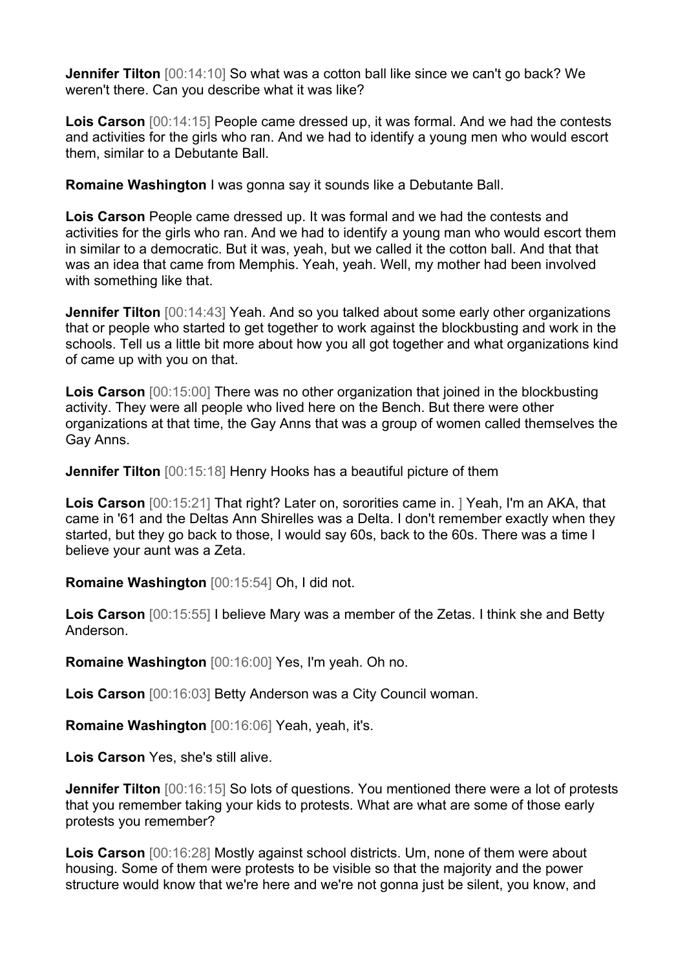**Jennifer Tilton** [00:14:10] So what was a cotton ball like since we can't go back? We weren't there. Can you describe what it was like?

**Lois Carson** [00:14:15] People came dressed up, it was formal. And we had the contests and activities for the girls who ran. And we had to identify a young men who would escort them, similar to a Debutante Ball.

**Romaine Washington** I was gonna say it sounds like a Debutante Ball.

**Lois Carson** People came dressed up. It was formal and we had the contests and activities for the girls who ran. And we had to identify a young man who would escort them in similar to a democratic. But it was, yeah, but we called it the cotton ball. And that that was an idea that came from Memphis. Yeah, yeah. Well, my mother had been involved with something like that.

**Jennifer Tilton** [00:14:43] Yeah. And so you talked about some early other organizations that or people who started to get together to work against the blockbusting and work in the schools. Tell us a little bit more about how you all got together and what organizations kind of came up with you on that.

**Lois Carson** [00:15:00] There was no other organization that joined in the blockbusting activity. They were all people who lived here on the Bench. But there were other organizations at that time, the Gay Anns that was a group of women called themselves the Gay Anns.

**Jennifer Tilton** [00:15:18] Henry Hooks has a beautiful picture of them

**Lois Carson** [00:15:21] That right? Later on, sororities came in. ] Yeah, I'm an AKA, that came in '61 and the Deltas Ann Shirelles was a Delta. I don't remember exactly when they started, but they go back to those, I would say 60s, back to the 60s. There was a time I believe your aunt was a Zeta.

**Romaine Washington** [00:15:54] Oh, I did not.

**Lois Carson** [00:15:55] I believe Mary was a member of the Zetas. I think she and Betty Anderson.

**Romaine Washington** [00:16:00] Yes, I'm yeah. Oh no.

**Lois Carson** [00:16:03] Betty Anderson was a City Council woman.

**Romaine Washington** [00:16:06] Yeah, yeah, it's.

**Lois Carson** Yes, she's still alive.

**Jennifer Tilton** [00:16:15] So lots of questions. You mentioned there were a lot of protests that you remember taking your kids to protests. What are what are some of those early protests you remember?

**Lois Carson** [00:16:28] Mostly against school districts. Um, none of them were about housing. Some of them were protests to be visible so that the majority and the power structure would know that we're here and we're not gonna just be silent, you know, and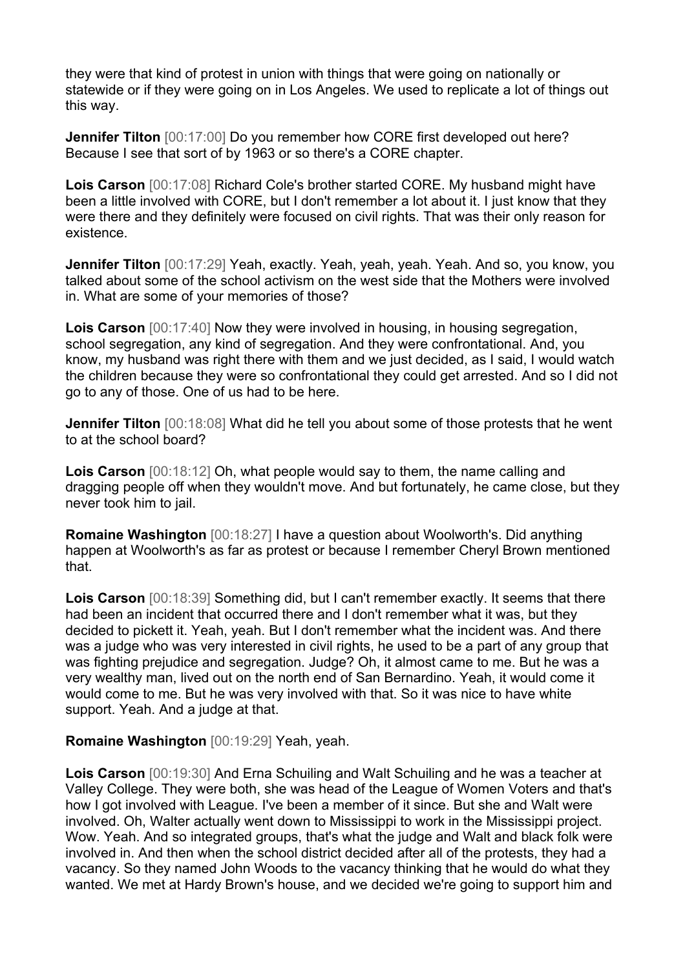they were that kind of protest in union with things that were going on nationally or statewide or if they were going on in Los Angeles. We used to replicate a lot of things out this way.

**Jennifer Tilton** [00:17:00] Do you remember how CORE first developed out here? Because I see that sort of by 1963 or so there's a CORE chapter.

**Lois Carson** [00:17:08] Richard Cole's brother started CORE. My husband might have been a little involved with CORE, but I don't remember a lot about it. I just know that they were there and they definitely were focused on civil rights. That was their only reason for existence.

**Jennifer Tilton** [00:17:29] Yeah, exactly. Yeah, yeah, yeah. Yeah. And so, you know, you talked about some of the school activism on the west side that the Mothers were involved in. What are some of your memories of those?

**Lois Carson** [00:17:40] Now they were involved in housing, in housing segregation, school segregation, any kind of segregation. And they were confrontational. And, you know, my husband was right there with them and we just decided, as I said, I would watch the children because they were so confrontational they could get arrested. And so I did not go to any of those. One of us had to be here.

**Jennifer Tilton** [00:18:08] What did he tell you about some of those protests that he went to at the school board?

**Lois Carson** [00:18:12] Oh, what people would say to them, the name calling and dragging people off when they wouldn't move. And but fortunately, he came close, but they never took him to jail.

**Romaine Washington** [00:18:27] I have a question about Woolworth's. Did anything happen at Woolworth's as far as protest or because I remember Cheryl Brown mentioned that.

**Lois Carson** [00:18:39] Something did, but I can't remember exactly. It seems that there had been an incident that occurred there and I don't remember what it was, but they decided to pickett it. Yeah, yeah. But I don't remember what the incident was. And there was a judge who was very interested in civil rights, he used to be a part of any group that was fighting prejudice and segregation. Judge? Oh, it almost came to me. But he was a very wealthy man, lived out on the north end of San Bernardino. Yeah, it would come it would come to me. But he was very involved with that. So it was nice to have white support. Yeah. And a judge at that.

#### **Romaine Washington** [00:19:29] Yeah, yeah.

**Lois Carson** [00:19:30] And Erna Schuiling and Walt Schuiling and he was a teacher at Valley College. They were both, she was head of the League of Women Voters and that's how I got involved with League. I've been a member of it since. But she and Walt were involved. Oh, Walter actually went down to Mississippi to work in the Mississippi project. Wow. Yeah. And so integrated groups, that's what the judge and Walt and black folk were involved in. And then when the school district decided after all of the protests, they had a vacancy. So they named John Woods to the vacancy thinking that he would do what they wanted. We met at Hardy Brown's house, and we decided we're going to support him and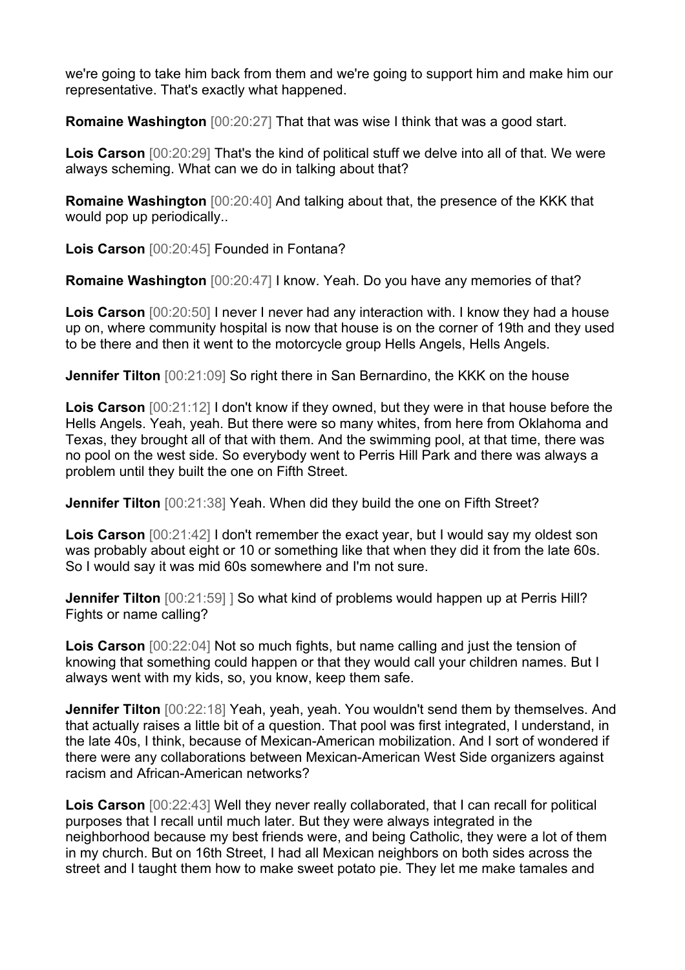we're going to take him back from them and we're going to support him and make him our representative. That's exactly what happened.

**Romaine Washington**  $[00:20:27]$  That that was wise I think that was a good start.

**Lois Carson** [00:20:29] That's the kind of political stuff we delve into all of that. We were always scheming. What can we do in talking about that?

**Romaine Washington** [00:20:40] And talking about that, the presence of the KKK that would pop up periodically..

**Lois Carson** [00:20:45] Founded in Fontana?

**Romaine Washington** [00:20:47] I know. Yeah. Do you have any memories of that?

**Lois Carson** [00:20:50] I never I never had any interaction with. I know they had a house up on, where community hospital is now that house is on the corner of 19th and they used to be there and then it went to the motorcycle group Hells Angels, Hells Angels.

**Jennifer Tilton** [00:21:09] So right there in San Bernardino, the KKK on the house

**Lois Carson** [00:21:12] I don't know if they owned, but they were in that house before the Hells Angels. Yeah, yeah. But there were so many whites, from here from Oklahoma and Texas, they brought all of that with them. And the swimming pool, at that time, there was no pool on the west side. So everybody went to Perris Hill Park and there was always a problem until they built the one on Fifth Street.

**Jennifer Tilton** [00:21:38] Yeah. When did they build the one on Fifth Street?

**Lois Carson** [00:21:42] I don't remember the exact year, but I would say my oldest son was probably about eight or 10 or something like that when they did it from the late 60s. So I would say it was mid 60s somewhere and I'm not sure.

**Jennifer Tilton**  $[00:21:59]$  So what kind of problems would happen up at Perris Hill? Fights or name calling?

**Lois Carson** [00:22:04] Not so much fights, but name calling and just the tension of knowing that something could happen or that they would call your children names. But I always went with my kids, so, you know, keep them safe.

**Jennifer Tilton** [00:22:18] Yeah, yeah, yeah. You wouldn't send them by themselves. And that actually raises a little bit of a question. That pool was first integrated, I understand, in the late 40s, I think, because of Mexican-American mobilization. And I sort of wondered if there were any collaborations between Mexican-American West Side organizers against racism and African-American networks?

**Lois Carson** [00:22:43] Well they never really collaborated, that I can recall for political purposes that I recall until much later. But they were always integrated in the neighborhood because my best friends were, and being Catholic, they were a lot of them in my church. But on 16th Street, I had all Mexican neighbors on both sides across the street and I taught them how to make sweet potato pie. They let me make tamales and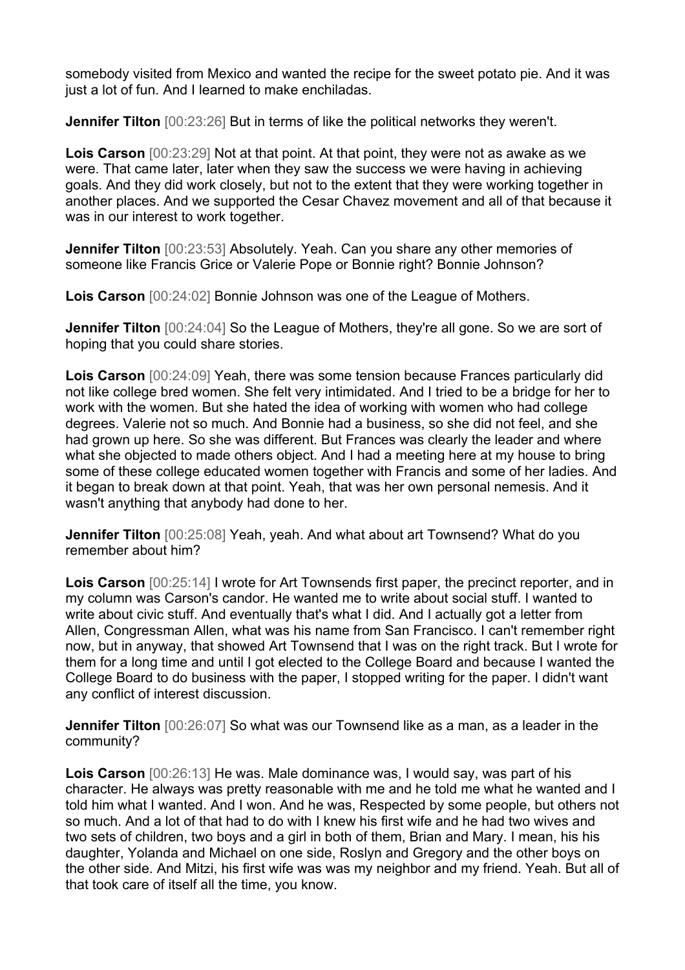somebody visited from Mexico and wanted the recipe for the sweet potato pie. And it was just a lot of fun. And I learned to make enchiladas.

**Jennifer Tilton**  $[00:23:26]$  But in terms of like the political networks they weren't.

**Lois Carson** [00:23:29] Not at that point. At that point, they were not as awake as we were. That came later, later when they saw the success we were having in achieving goals. And they did work closely, but not to the extent that they were working together in another places. And we supported the Cesar Chavez movement and all of that because it was in our interest to work together.

**Jennifer Tilton** [00:23:53] Absolutely. Yeah. Can you share any other memories of someone like Francis Grice or Valerie Pope or Bonnie right? Bonnie Johnson?

**Lois Carson** [00:24:02] Bonnie Johnson was one of the League of Mothers.

**Jennifer Tilton** [00:24:04] So the League of Mothers, they're all gone. So we are sort of hoping that you could share stories.

**Lois Carson** [00:24:09] Yeah, there was some tension because Frances particularly did not like college bred women. She felt very intimidated. And I tried to be a bridge for her to work with the women. But she hated the idea of working with women who had college degrees. Valerie not so much. And Bonnie had a business, so she did not feel, and she had grown up here. So she was different. But Frances was clearly the leader and where what she objected to made others object. And I had a meeting here at my house to bring some of these college educated women together with Francis and some of her ladies. And it began to break down at that point. Yeah, that was her own personal nemesis. And it wasn't anything that anybody had done to her.

**Jennifer Tilton** [00:25:08] Yeah, yeah. And what about art Townsend? What do you remember about him?

**Lois Carson** [00:25:14] I wrote for Art Townsends first paper, the precinct reporter, and in my column was Carson's candor. He wanted me to write about social stuff. I wanted to write about civic stuff. And eventually that's what I did. And I actually got a letter from Allen, Congressman Allen, what was his name from San Francisco. I can't remember right now, but in anyway, that showed Art Townsend that I was on the right track. But I wrote for them for a long time and until I got elected to the College Board and because I wanted the College Board to do business with the paper, I stopped writing for the paper. I didn't want any conflict of interest discussion.

**Jennifer Tilton** [00:26:07] So what was our Townsend like as a man, as a leader in the community?

**Lois Carson** [00:26:13] He was. Male dominance was, I would say, was part of his character. He always was pretty reasonable with me and he told me what he wanted and I told him what I wanted. And I won. And he was, Respected by some people, but others not so much. And a lot of that had to do with I knew his first wife and he had two wives and two sets of children, two boys and a girl in both of them, Brian and Mary. I mean, his his daughter, Yolanda and Michael on one side, Roslyn and Gregory and the other boys on the other side. And Mitzi, his first wife was was my neighbor and my friend. Yeah. But all of that took care of itself all the time, you know.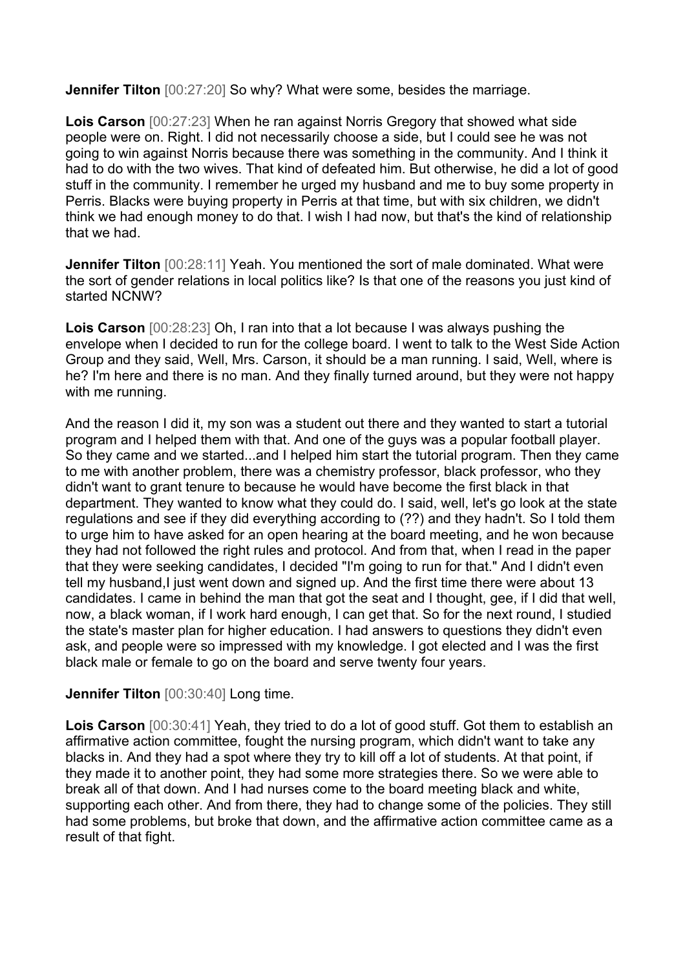**Jennifer Tilton** [00:27:20] So why? What were some, besides the marriage.

**Lois Carson** [00:27:23] When he ran against Norris Gregory that showed what side people were on. Right. I did not necessarily choose a side, but I could see he was not going to win against Norris because there was something in the community. And I think it had to do with the two wives. That kind of defeated him. But otherwise, he did a lot of good stuff in the community. I remember he urged my husband and me to buy some property in Perris. Blacks were buying property in Perris at that time, but with six children, we didn't think we had enough money to do that. I wish I had now, but that's the kind of relationship that we had.

**Jennifer Tilton** [00:28:11] Yeah. You mentioned the sort of male dominated. What were the sort of gender relations in local politics like? Is that one of the reasons you just kind of started NCNW?

**Lois Carson** [00:28:23] Oh, I ran into that a lot because I was always pushing the envelope when I decided to run for the college board. I went to talk to the West Side Action Group and they said, Well, Mrs. Carson, it should be a man running. I said, Well, where is he? I'm here and there is no man. And they finally turned around, but they were not happy with me running.

And the reason I did it, my son was a student out there and they wanted to start a tutorial program and I helped them with that. And one of the guys was a popular football player. So they came and we started...and I helped him start the tutorial program. Then they came to me with another problem, there was a chemistry professor, black professor, who they didn't want to grant tenure to because he would have become the first black in that department. They wanted to know what they could do. I said, well, let's go look at the state regulations and see if they did everything according to (??) and they hadn't. So I told them to urge him to have asked for an open hearing at the board meeting, and he won because they had not followed the right rules and protocol. And from that, when I read in the paper that they were seeking candidates, I decided "I'm going to run for that." And I didn't even tell my husband, I just went down and signed up. And the first time there were about 13 candidates. I came in behind the man that got the seat and I thought, gee, if I did that well, now, a black woman, if I work hard enough, I can get that. So for the next round, I studied the state's master plan for higher education. I had answers to questions they didn't even ask, and people were so impressed with my knowledge. I got elected and I was the first black male or female to go on the board and serve twenty four years.

#### **Jennifer Tilton** [00:30:40] Long time.

**Lois Carson** [00:30:41] Yeah, they tried to do a lot of good stuff. Got them to establish an affirmative action committee, fought the nursing program, which didn't want to take any blacks in. And they had a spot where they try to kill off a lot of students. At that point, if they made it to another point, they had some more strategies there. So we were able to break all of that down. And I had nurses come to the board meeting black and white, supporting each other. And from there, they had to change some of the policies. They still had some problems, but broke that down, and the affirmative action committee came as a result of that fight.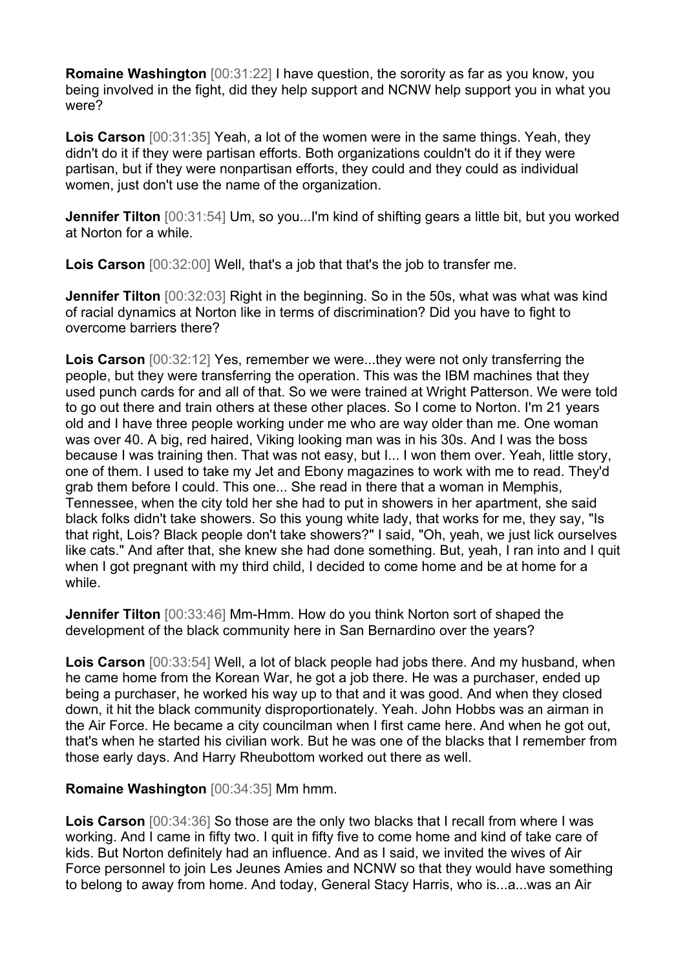**Romaine Washington** [00:31:22] I have question, the sorority as far as you know, you being involved in the fight, did they help support and NCNW help support you in what you were?

**Lois Carson** [00:31:35] Yeah, a lot of the women were in the same things. Yeah, they didn't do it if they were partisan efforts. Both organizations couldn't do it if they were partisan, but if they were nonpartisan efforts, they could and they could as individual women, just don't use the name of the organization.

**Jennifer Tilton** [00:31:54] Um, so you...I'm kind of shifting gears a little bit, but you worked at Norton for a while.

**Lois Carson** [00:32:00] Well, that's a job that that's the job to transfer me.

**Jennifer Tilton** [00:32:03] Right in the beginning. So in the 50s, what was what was kind of racial dynamics at Norton like in terms of discrimination? Did you have to fight to overcome barriers there?

**Lois Carson** [00:32:12] Yes, remember we were...they were not only transferring the people, but they were transferring the operation. This was the IBM machines that they used punch cards for and all of that. So we were trained at Wright Patterson. We were told to go out there and train others at these other places. So I come to Norton. I'm 21 years old and I have three people working under me who are way older than me. One woman was over 40. A big, red haired, Viking looking man was in his 30s. And I was the boss because I was training then. That was not easy, but I... I won them over. Yeah, little story, one of them. I used to take my Jet and Ebony magazines to work with me to read. They'd grab them before I could. This one... She read in there that a woman in Memphis, Tennessee, when the city told her she had to put in showers in her apartment, she said black folks didn't take showers. So this young white lady, that works for me, they say, "Is that right, Lois? Black people don't take showers?" I said, "Oh, yeah, we just lick ourselves like cats." And after that, she knew she had done something. But, yeah, I ran into and I quit when I got pregnant with my third child, I decided to come home and be at home for a while.

**Jennifer Tilton** [00:33:46] Mm-Hmm. How do you think Norton sort of shaped the development of the black community here in San Bernardino over the years?

**Lois Carson** [00:33:54] Well, a lot of black people had jobs there. And my husband, when he came home from the Korean War, he got a job there. He was a purchaser, ended up being a purchaser, he worked his way up to that and it was good. And when they closed down, it hit the black community disproportionately. Yeah. John Hobbs was an airman in the Air Force. He became a city councilman when I first came here. And when he got out, that's when he started his civilian work. But he was one of the blacks that I remember from those early days. And Harry Rheubottom worked out there as well.

## **Romaine Washington** [00:34:35] Mm hmm.

**Lois Carson** [00:34:36] So those are the only two blacks that I recall from where I was working. And I came in fifty two. I quit in fifty five to come home and kind of take care of kids. But Norton definitely had an influence. And as I said, we invited the wives of Air Force personnel to join Les Jeunes Amies and NCNW so that they would have something to belong to away from home. And today, General Stacy Harris, who is...a...was an Air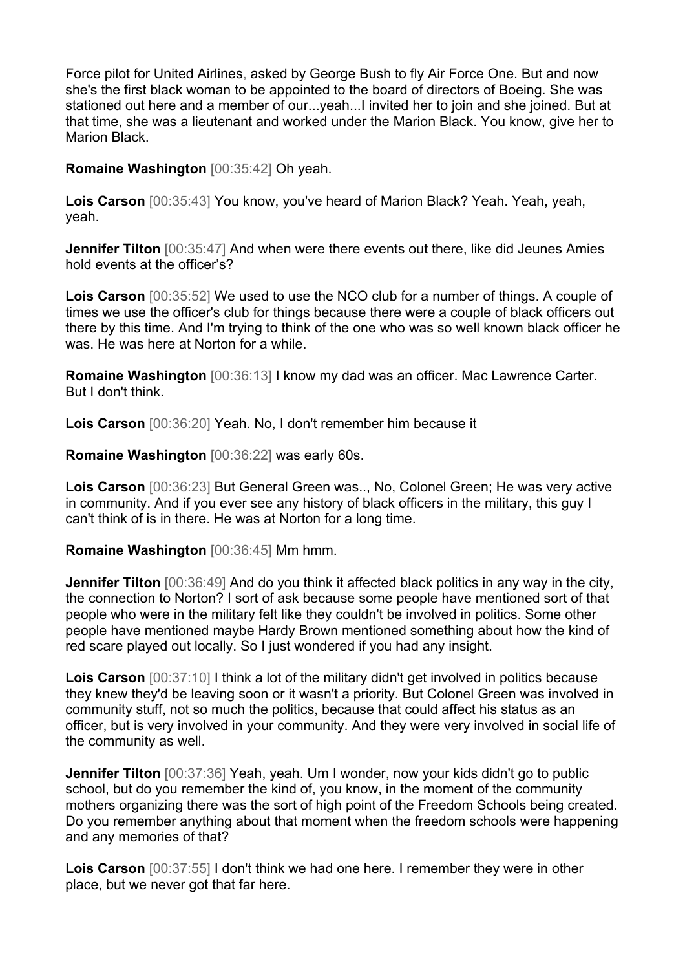Force pilot for United Airlines, asked by George Bush to fly Air Force One. But and now she's the first black woman to be appointed to the board of directors of Boeing. She was stationed out here and a member of our...yeah...I invited her to join and she joined. But at that time, she was a lieutenant and worked under the Marion Black. You know, give her to Marion Black.

**Romaine Washington** [00:35:42] Oh yeah.

**Lois Carson** [00:35:43] You know, you've heard of Marion Black? Yeah. Yeah, yeah, yeah.

**Jennifer Tilton** [00:35:47] And when were there events out there, like did Jeunes Amies hold events at the officer's?

**Lois Carson** [00:35:52] We used to use the NCO club for a number of things. A couple of times we use the officer's club for things because there were a couple of black officers out there by this time. And I'm trying to think of the one who was so well known black officer he was. He was here at Norton for a while.

**Romaine Washington** [00:36:13] I know my dad was an officer. Mac Lawrence Carter. But I don't think.

**Lois Carson** [00:36:20] Yeah. No, I don't remember him because it

**Romaine Washington** [00:36:22] was early 60s.

**Lois Carson** [00:36:23] But General Green was.., No, Colonel Green; He was very active in community. And if you ever see any history of black officers in the military, this guy I can't think of is in there. He was at Norton for a long time.

**Romaine Washington** [00:36:45] Mm hmm.

**Jennifer Tilton** [00:36:49] And do you think it affected black politics in any way in the city, the connection to Norton? I sort of ask because some people have mentioned sort of that people who were in the military felt like they couldn't be involved in politics. Some other people have mentioned maybe Hardy Brown mentioned something about how the kind of red scare played out locally. So I just wondered if you had any insight.

**Lois Carson**  $[00:37:10]$  I think a lot of the military didn't get involved in politics because they knew they'd be leaving soon or it wasn't a priority. But Colonel Green was involved in community stuff, not so much the politics, because that could affect his status as an officer, but is very involved in your community. And they were very involved in social life of the community as well.

**Jennifer Tilton** [00:37:36] Yeah, yeah. Um I wonder, now your kids didn't go to public school, but do you remember the kind of, you know, in the moment of the community mothers organizing there was the sort of high point of the Freedom Schools being created. Do you remember anything about that moment when the freedom schools were happening and any memories of that?

**Lois Carson** [00:37:55] I don't think we had one here. I remember they were in other place, but we never got that far here.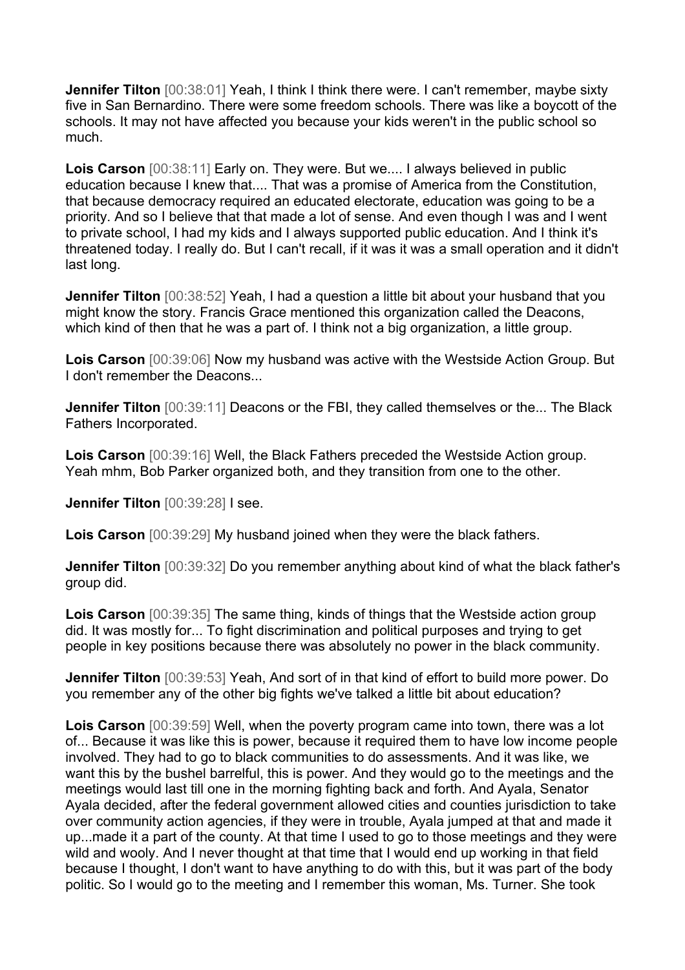**Jennifer Tilton** [00:38:01] Yeah, I think I think there were. I can't remember, maybe sixty five in San Bernardino. There were some freedom schools. There was like a boycott of the schools. It may not have affected you because your kids weren't in the public school so much.

**Lois Carson** [00:38:11] Early on. They were. But we.... I always believed in public education because I knew that.... That was a promise of America from the Constitution, that because democracy required an educated electorate, education was going to be a priority. And so I believe that that made a lot of sense. And even though I was and I went to private school, I had my kids and I always supported public education. And I think it's threatened today. I really do. But I can't recall, if it was it was a small operation and it didn't last long.

**Jennifer Tilton** [00:38:52] Yeah, I had a question a little bit about your husband that you might know the story. Francis Grace mentioned this organization called the Deacons, which kind of then that he was a part of. I think not a big organization, a little group.

**Lois Carson** [00:39:06] Now my husband was active with the Westside Action Group. But I don't remember the Deacons...

**Jennifer Tilton** [00:39:11] Deacons or the FBI, they called themselves or the... The Black Fathers Incorporated.

**Lois Carson** [00:39:16] Well, the Black Fathers preceded the Westside Action group. Yeah mhm, Bob Parker organized both, and they transition from one to the other.

**Jennifer Tilton** [00:39:28] I see.

**Lois Carson** [00:39:29] My husband joined when they were the black fathers.

**Jennifer Tilton** [00:39:32] Do you remember anything about kind of what the black father's group did.

**Lois Carson** [00:39:35] The same thing, kinds of things that the Westside action group did. It was mostly for... To fight discrimination and political purposes and trying to get people in key positions because there was absolutely no power in the black community.

**Jennifer Tilton** [00:39:53] Yeah, And sort of in that kind of effort to build more power. Do you remember any of the other big fights we've talked a little bit about education?

**Lois Carson** [00:39:59] Well, when the poverty program came into town, there was a lot of... Because it was like this is power, because it required them to have low income people involved. They had to go to black communities to do assessments. And it was like, we want this by the bushel barrelful, this is power. And they would go to the meetings and the meetings would last till one in the morning fighting back and forth. And Ayala, Senator Ayala decided, after the federal government allowed cities and counties jurisdiction to take over community action agencies, if they were in trouble, Ayala jumped at that and made it up...made it a part of the county. At that time I used to go to those meetings and they were wild and wooly. And I never thought at that time that I would end up working in that field because I thought, I don't want to have anything to do with this, but it was part of the body politic. So I would go to the meeting and I remember this woman, Ms. Turner. She took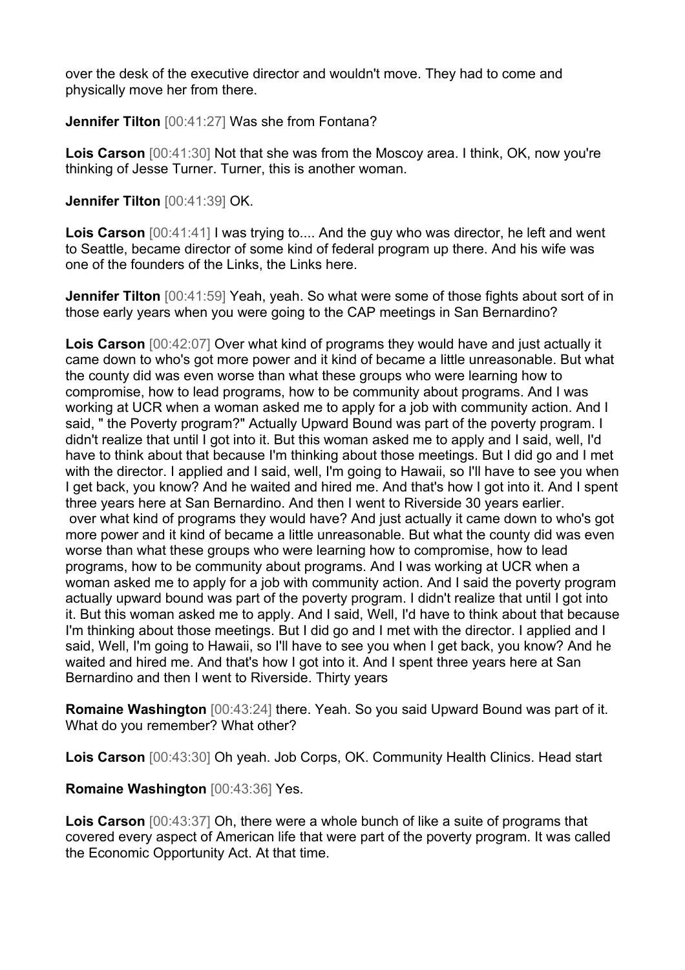over the desk of the executive director and wouldn't move. They had to come and physically move her from there.

**Jennifer Tilton** [00:41:27] Was she from Fontana?

**Lois Carson** [00:41:30] Not that she was from the Moscoy area. I think, OK, now you're thinking of Jesse Turner. Turner, this is another woman.

**Jennifer Tilton** [00:41:39] OK.

**Lois Carson** [00:41:41] I was trying to.... And the guy who was director, he left and went to Seattle, became director of some kind of federal program up there. And his wife was one of the founders of the Links, the Links here.

**Jennifer Tilton** [00:41:59] Yeah, yeah. So what were some of those fights about sort of in those early years when you were going to the CAP meetings in San Bernardino?

**Lois Carson** [00:42:07] Over what kind of programs they would have and just actually it came down to who's got more power and it kind of became a little unreasonable. But what the county did was even worse than what these groups who were learning how to compromise, how to lead programs, how to be community about programs. And I was working at UCR when a woman asked me to apply for a job with community action. And I said, " the Poverty program?" Actually Upward Bound was part of the poverty program. I didn't realize that until I got into it. But this woman asked me to apply and I said, well, I'd have to think about that because I'm thinking about those meetings. But I did go and I met with the director. I applied and I said, well, I'm going to Hawaii, so I'll have to see you when I get back, you know? And he waited and hired me. And that's how I got into it. And I spent three years here at San Bernardino. And then I went to Riverside 30 years earlier. over what kind of programs they would have? And just actually it came down to who's got more power and it kind of became a little unreasonable. But what the county did was even worse than what these groups who were learning how to compromise, how to lead programs, how to be community about programs. And I was working at UCR when a woman asked me to apply for a job with community action. And I said the poverty program actually upward bound was part of the poverty program. I didn't realize that until I got into it. But this woman asked me to apply. And I said, Well, I'd have to think about that because I'm thinking about those meetings. But I did go and I met with the director. I applied and I said, Well, I'm going to Hawaii, so I'll have to see you when I get back, you know? And he waited and hired me. And that's how I got into it. And I spent three years here at San Bernardino and then I went to Riverside. Thirty years

**Romaine Washington** [00:43:24] there. Yeah. So you said Upward Bound was part of it. What do you remember? What other?

**Lois Carson** [00:43:30] Oh yeah. Job Corps, OK. Community Health Clinics. Head start

**Romaine Washington** [00:43:36] Yes.

**Lois Carson** [00:43:37] Oh, there were a whole bunch of like a suite of programs that covered every aspect of American life that were part of the poverty program. It was called the Economic Opportunity Act. At that time.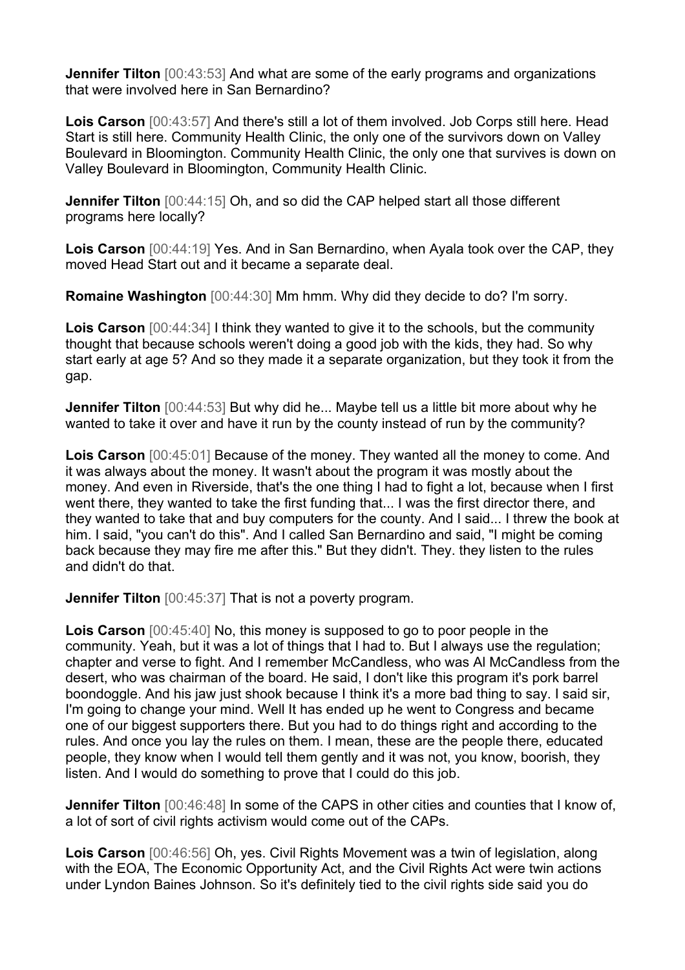**Jennifer Tilton** [00:43:53] And what are some of the early programs and organizations that were involved here in San Bernardino?

**Lois Carson** [00:43:57] And there's still a lot of them involved. Job Corps still here. Head Start is still here. Community Health Clinic, the only one of the survivors down on Valley Boulevard in Bloomington. Community Health Clinic, the only one that survives is down on Valley Boulevard in Bloomington, Community Health Clinic.

**Jennifer Tilton** [00:44:15] Oh, and so did the CAP helped start all those different programs here locally?

**Lois Carson** [00:44:19] Yes. And in San Bernardino, when Ayala took over the CAP, they moved Head Start out and it became a separate deal.

**Romaine Washington** [00:44:30] Mm hmm. Why did they decide to do? I'm sorry.

**Lois Carson** [00:44:34] I think they wanted to give it to the schools, but the community thought that because schools weren't doing a good job with the kids, they had. So why start early at age 5? And so they made it a separate organization, but they took it from the gap.

**Jennifer Tilton** [00:44:53] But why did he... Maybe tell us a little bit more about why he wanted to take it over and have it run by the county instead of run by the community?

**Lois Carson** [00:45:01] Because of the money. They wanted all the money to come. And it was always about the money. It wasn't about the program it was mostly about the money. And even in Riverside, that's the one thing I had to fight a lot, because when I first went there, they wanted to take the first funding that... I was the first director there, and they wanted to take that and buy computers for the county. And I said... I threw the book at him. I said, "you can't do this". And I called San Bernardino and said, "I might be coming back because they may fire me after this." But they didn't. They. they listen to the rules and didn't do that.

**Jennifer Tilton** [00:45:37] That is not a poverty program.

**Lois Carson** [00:45:40] No, this money is supposed to go to poor people in the community. Yeah, but it was a lot of things that I had to. But I always use the regulation; chapter and verse to fight. And I remember McCandless, who was Al McCandless from the desert, who was chairman of the board. He said, I don't like this program it's pork barrel boondoggle. And his jaw just shook because I think it's a more bad thing to say. I said sir, I'm going to change your mind. Well It has ended up he went to Congress and became one of our biggest supporters there. But you had to do things right and according to the rules. And once you lay the rules on them. I mean, these are the people there, educated people, they know when I would tell them gently and it was not, you know, boorish, they listen. And I would do something to prove that I could do this job.

**Jennifer Tilton** [00:46:48] In some of the CAPS in other cities and counties that I know of, a lot of sort of civil rights activism would come out of the CAPs.

**Lois Carson** [00:46:56] Oh, yes. Civil Rights Movement was a twin of legislation, along with the EOA, The Economic Opportunity Act, and the Civil Rights Act were twin actions under Lyndon Baines Johnson. So it's definitely tied to the civil rights side said you do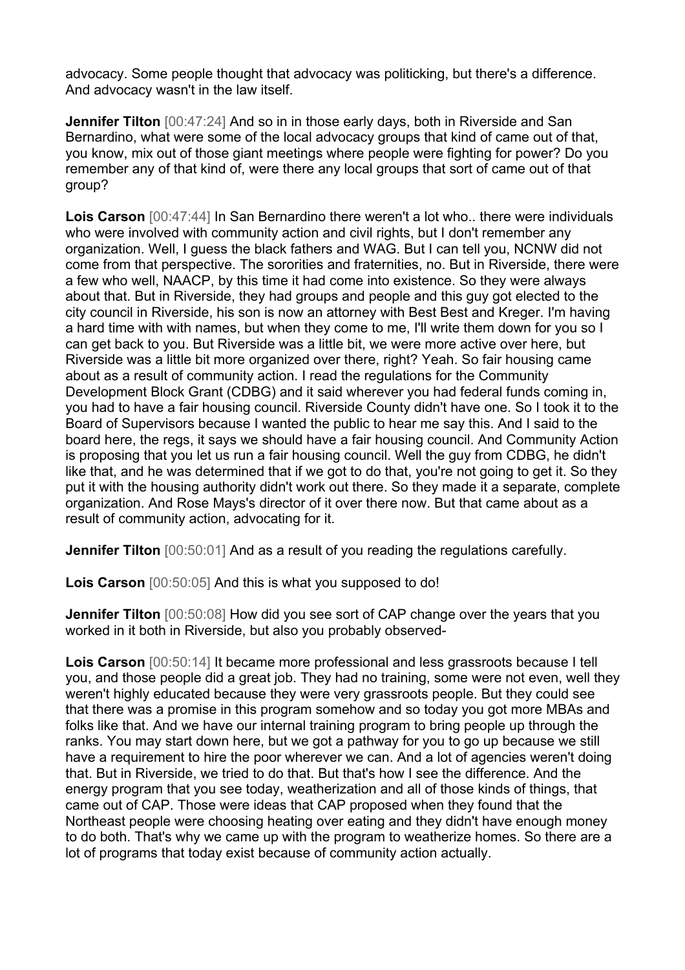advocacy. Some people thought that advocacy was politicking, but there's a difference. And advocacy wasn't in the law itself.

**Jennifer Tilton**  $[00:47:24]$  And so in in those early days, both in Riverside and San Bernardino, what were some of the local advocacy groups that kind of came out of that, you know, mix out of those giant meetings where people were fighting for power? Do you remember any of that kind of, were there any local groups that sort of came out of that group?

**Lois Carson** [00:47:44] In San Bernardino there weren't a lot who.. there were individuals who were involved with community action and civil rights, but I don't remember any organization. Well, I guess the black fathers and WAG. But I can tell you, NCNW did not come from that perspective. The sororities and fraternities, no. But in Riverside, there were a few who well, NAACP, by this time it had come into existence. So they were always about that. But in Riverside, they had groups and people and this guy got elected to the city council in Riverside, his son is now an attorney with Best Best and Kreger. I'm having a hard time with with names, but when they come to me, I'll write them down for you so I can get back to you. But Riverside was a little bit, we were more active over here, but Riverside was a little bit more organized over there, right? Yeah. So fair housing came about as a result of community action. I read the regulations for the Community Development Block Grant (CDBG) and it said wherever you had federal funds coming in, you had to have a fair housing council. Riverside County didn't have one. So I took it to the Board of Supervisors because I wanted the public to hear me say this. And I said to the board here, the regs, it says we should have a fair housing council. And Community Action is proposing that you let us run a fair housing council. Well the guy from CDBG, he didn't like that, and he was determined that if we got to do that, you're not going to get it. So they put it with the housing authority didn't work out there. So they made it a separate, complete organization. And Rose Mays's director of it over there now. But that came about as a result of community action, advocating for it.

**Jennifer Tilton** [00:50:01] And as a result of you reading the regulations carefully.

**Lois Carson** [00:50:05] And this is what you supposed to do!

**Jennifer Tilton** [00:50:08] How did you see sort of CAP change over the years that you worked in it both in Riverside, but also you probably observed-

**Lois Carson** [00:50:14] It became more professional and less grassroots because I tell you, and those people did a great job. They had no training, some were not even, well they weren't highly educated because they were very grassroots people. But they could see that there was a promise in this program somehow and so today you got more MBAs and folks like that. And we have our internal training program to bring people up through the ranks. You may start down here, but we got a pathway for you to go up because we still have a requirement to hire the poor wherever we can. And a lot of agencies weren't doing that. But in Riverside, we tried to do that. But that's how I see the difference. And the energy program that you see today, weatherization and all of those kinds of things, that came out of CAP. Those were ideas that CAP proposed when they found that the Northeast people were choosing heating over eating and they didn't have enough money to do both. That's why we came up with the program to weatherize homes. So there are a lot of programs that today exist because of community action actually.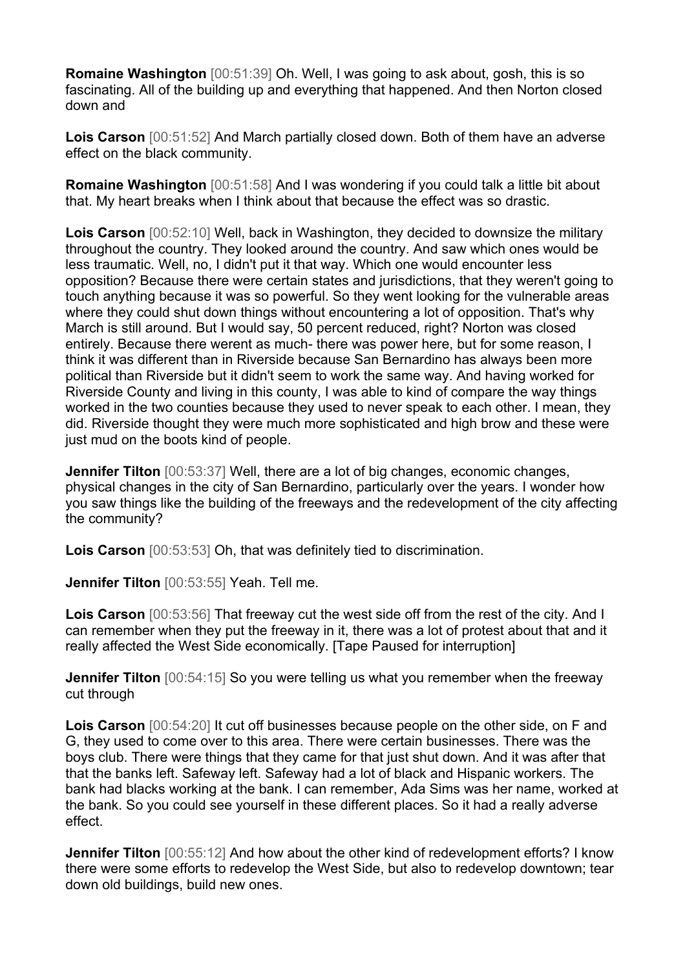**Romaine Washington** [00:51:39] Oh. Well, I was going to ask about, gosh, this is so fascinating. All of the building up and everything that happened. And then Norton closed down and

**Lois Carson** [00:51:52] And March partially closed down. Both of them have an adverse effect on the black community.

**Romaine Washington** [00:51:58] And I was wondering if you could talk a little bit about that. My heart breaks when I think about that because the effect was so drastic.

**Lois Carson** [00:52:10] Well, back in Washington, they decided to downsize the military throughout the country. They looked around the country. And saw which ones would be less traumatic. Well, no, I didn't put it that way. Which one would encounter less opposition? Because there were certain states and jurisdictions, that they weren't going to touch anything because it was so powerful. So they went looking for the vulnerable areas where they could shut down things without encountering a lot of opposition. That's why March is still around. But I would say, 50 percent reduced, right? Norton was closed entirely. Because there werent as much- there was power here, but for some reason, I think it was different than in Riverside because San Bernardino has always been more political than Riverside but it didn't seem to work the same way. And having worked for Riverside County and living in this county, I was able to kind of compare the way things worked in the two counties because they used to never speak to each other. I mean, they did. Riverside thought they were much more sophisticated and high brow and these were just mud on the boots kind of people.

**Jennifer Tilton** [00:53:37] Well, there are a lot of big changes, economic changes, physical changes in the city of San Bernardino, particularly over the years. I wonder how you saw things like the building of the freeways and the redevelopment of the city affecting the community?

**Lois Carson** [00:53:53] Oh, that was definitely tied to discrimination.

**Jennifer Tilton** [00:53:55] Yeah. Tell me.

**Lois Carson** [00:53:56] That freeway cut the west side off from the rest of the city. And I can remember when they put the freeway in it, there was a lot of protest about that and it really affected the West Side economically. [Tape Paused for interruption]

**Jennifer Tilton**  $[00:54:15]$  So you were telling us what you remember when the freeway cut through

**Lois Carson** [00:54:20] It cut off businesses because people on the other side, on F and G, they used to come over to this area. There were certain businesses. There was the boys club. There were things that they came for that just shut down. And it was after that that the banks left. Safeway left. Safeway had a lot of black and Hispanic workers. The bank had blacks working at the bank. I can remember, Ada Sims was her name, worked at the bank. So you could see yourself in these different places. So it had a really adverse effect.

**Jennifer Tilton** [00:55:12] And how about the other kind of redevelopment efforts? I know there were some efforts to redevelop the West Side, but also to redevelop downtown; tear down old buildings, build new ones.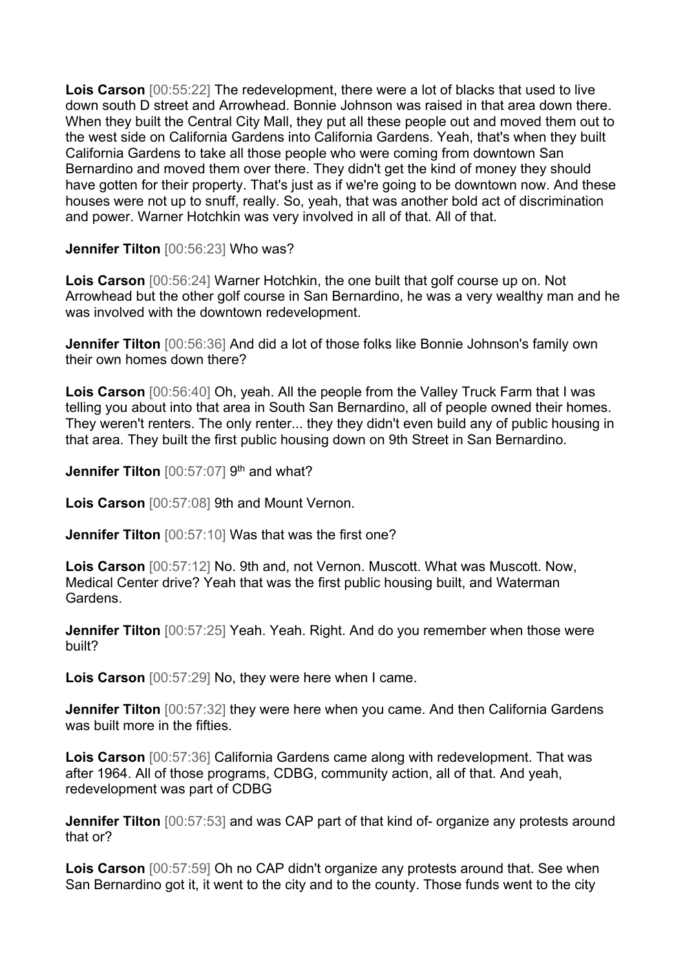**Lois Carson** [00:55:22] The redevelopment, there were a lot of blacks that used to live down south D street and Arrowhead. Bonnie Johnson was raised in that area down there. When they built the Central City Mall, they put all these people out and moved them out to the west side on California Gardens into California Gardens. Yeah, that's when they built California Gardens to take all those people who were coming from downtown San Bernardino and moved them over there. They didn't get the kind of money they should have gotten for their property. That's just as if we're going to be downtown now. And these houses were not up to snuff, really. So, yeah, that was another bold act of discrimination and power. Warner Hotchkin was very involved in all of that. All of that.

**Jennifer Tilton** [00:56:23] Who was?

**Lois Carson** [00:56:24] Warner Hotchkin, the one built that golf course up on. Not Arrowhead but the other golf course in San Bernardino, he was a very wealthy man and he was involved with the downtown redevelopment.

**Jennifer Tilton** [00:56:36] And did a lot of those folks like Bonnie Johnson's family own their own homes down there?

**Lois Carson** [00:56:40] Oh, yeah. All the people from the Valley Truck Farm that I was telling you about into that area in South San Bernardino, all of people owned their homes. They weren't renters. The only renter... they they didn't even build any of public housing in that area. They built the first public housing down on 9th Street in San Bernardino.

**Jennifer Tilton** [00:57:07] 9<sup>th</sup> and what?

**Lois Carson** [00:57:08] 9th and Mount Vernon.

**Jennifer Tilton** [00:57:10] Was that was the first one?

**Lois Carson** [00:57:12] No. 9th and, not Vernon. Muscott. What was Muscott. Now, Medical Center drive? Yeah that was the first public housing built, and Waterman Gardens.

**Jennifer Tilton**  $[00:57:25]$  Yeah. Yeah. Right. And do you remember when those were built?

**Lois Carson** [00:57:29] No, they were here when I came.

**Jennifer Tilton** [00:57:32] they were here when you came. And then California Gardens was built more in the fifties.

**Lois Carson** [00:57:36] California Gardens came along with redevelopment. That was after 1964. All of those programs, CDBG, community action, all of that. And yeah, redevelopment was part of CDBG

**Jennifer Tilton** [00:57:53] and was CAP part of that kind of- organize any protests around that or?

**Lois Carson** [00:57:59] Oh no CAP didn't organize any protests around that. See when San Bernardino got it, it went to the city and to the county. Those funds went to the city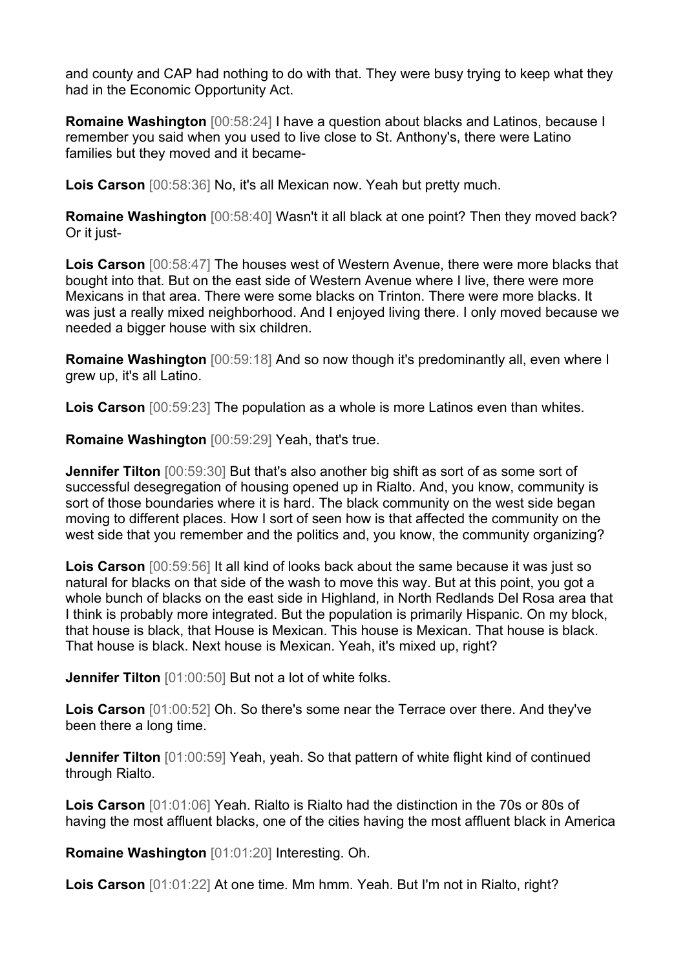and county and CAP had nothing to do with that. They were busy trying to keep what they had in the Economic Opportunity Act.

**Romaine Washington** [00:58:24] I have a question about blacks and Latinos, because I remember you said when you used to live close to St. Anthony's, there were Latino families but they moved and it became-

**Lois Carson** [00:58:36] No, it's all Mexican now. Yeah but pretty much.

**Romaine Washington** [00:58:40] Wasn't it all black at one point? Then they moved back? Or it just-

**Lois Carson** [00:58:47] The houses west of Western Avenue, there were more blacks that bought into that. But on the east side of Western Avenue where I live, there were more Mexicans in that area. There were some blacks on Trinton. There were more blacks. It was just a really mixed neighborhood. And I enjoyed living there. I only moved because we needed a bigger house with six children.

**Romaine Washington** [00:59:18] And so now though it's predominantly all, even where I grew up, it's all Latino.

**Lois Carson** [00:59:23] The population as a whole is more Latinos even than whites.

**Romaine Washington** [00:59:29] Yeah, that's true.

**Jennifer Tilton** [00:59:30] But that's also another big shift as sort of as some sort of successful desegregation of housing opened up in Rialto. And, you know, community is sort of those boundaries where it is hard. The black community on the west side began moving to different places. How I sort of seen how is that affected the community on the west side that you remember and the politics and, you know, the community organizing?

**Lois Carson** [00:59:56] It all kind of looks back about the same because it was just so natural for blacks on that side of the wash to move this way. But at this point, you got a whole bunch of blacks on the east side in Highland, in North Redlands Del Rosa area that I think is probably more integrated. But the population is primarily Hispanic. On my block, that house is black, that House is Mexican. This house is Mexican. That house is black. That house is black. Next house is Mexican. Yeah, it's mixed up, right?

**Jennifer Tilton** [01:00:50] But not a lot of white folks.

**Lois Carson** [01:00:52] Oh. So there's some near the Terrace over there. And they've been there a long time.

**Jennifer Tilton** [01:00:59] Yeah, yeah. So that pattern of white flight kind of continued through Rialto.

**Lois Carson** [01:01:06] Yeah. Rialto is Rialto had the distinction in the 70s or 80s of having the most affluent blacks, one of the cities having the most affluent black in America

**Romaine Washington** [01:01:20] Interesting. Oh.

**Lois Carson** [01:01:22] At one time. Mm hmm. Yeah. But I'm not in Rialto, right?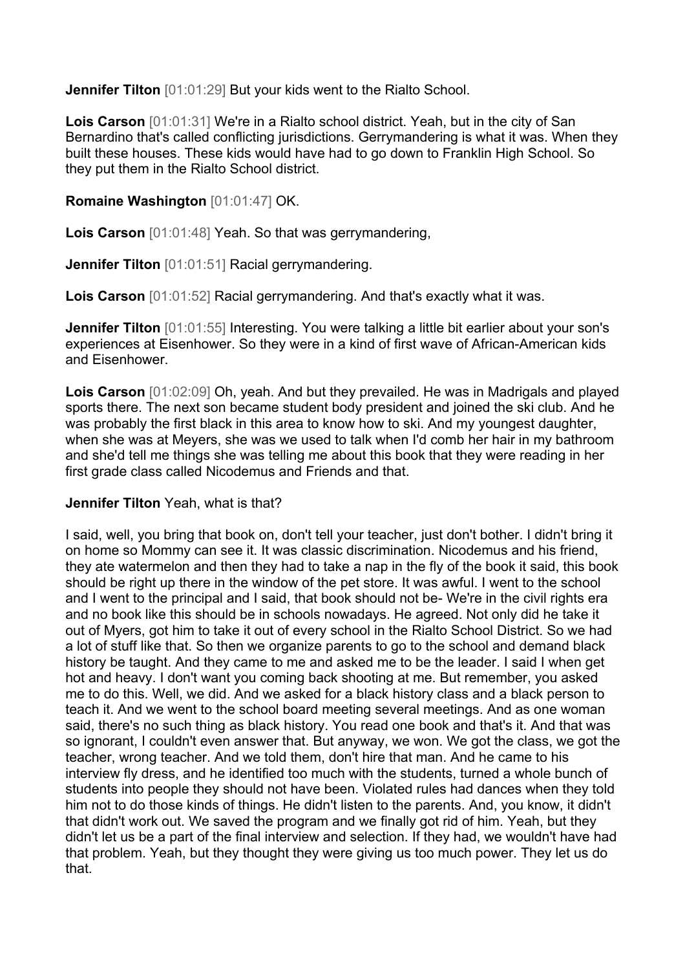**Jennifer Tilton** [01:01:29] But your kids went to the Rialto School.

**Lois Carson** [01:01:31] We're in a Rialto school district. Yeah, but in the city of San Bernardino that's called conflicting jurisdictions. Gerrymandering is what it was. When they built these houses. These kids would have had to go down to Franklin High School. So they put them in the Rialto School district.

## **Romaine Washington** [01:01:47] OK.

**Lois Carson** [01:01:48] Yeah. So that was gerrymandering,

**Jennifer Tilton** [01:01:51] Racial gerrymandering.

**Lois Carson** [01:01:52] Racial gerrymandering. And that's exactly what it was.

**Jennifer Tilton** [01:01:55] Interesting. You were talking a little bit earlier about your son's experiences at Eisenhower. So they were in a kind of first wave of African-American kids and Eisenhower.

**Lois Carson** [01:02:09] Oh, yeah. And but they prevailed. He was in Madrigals and played sports there. The next son became student body president and joined the ski club. And he was probably the first black in this area to know how to ski. And my youngest daughter, when she was at Meyers, she was we used to talk when I'd comb her hair in my bathroom and she'd tell me things she was telling me about this book that they were reading in her first grade class called Nicodemus and Friends and that.

#### **Jennifer Tilton** Yeah, what is that?

I said, well, you bring that book on, don't tell your teacher, just don't bother. I didn't bring it on home so Mommy can see it. It was classic discrimination. Nicodemus and his friend, they ate watermelon and then they had to take a nap in the fly of the book it said, this book should be right up there in the window of the pet store. It was awful. I went to the school and I went to the principal and I said, that book should not be- We're in the civil rights era and no book like this should be in schools nowadays. He agreed. Not only did he take it out of Myers, got him to take it out of every school in the Rialto School District. So we had a lot of stuff like that. So then we organize parents to go to the school and demand black history be taught. And they came to me and asked me to be the leader. I said I when get hot and heavy. I don't want you coming back shooting at me. But remember, you asked me to do this. Well, we did. And we asked for a black history class and a black person to teach it. And we went to the school board meeting several meetings. And as one woman said, there's no such thing as black history. You read one book and that's it. And that was so ignorant, I couldn't even answer that. But anyway, we won. We got the class, we got the teacher, wrong teacher. And we told them, don't hire that man. And he came to his interview fly dress, and he identified too much with the students, turned a whole bunch of students into people they should not have been. Violated rules had dances when they told him not to do those kinds of things. He didn't listen to the parents. And, you know, it didn't that didn't work out. We saved the program and we finally got rid of him. Yeah, but they didn't let us be a part of the final interview and selection. If they had, we wouldn't have had that problem. Yeah, but they thought they were giving us too much power. They let us do that.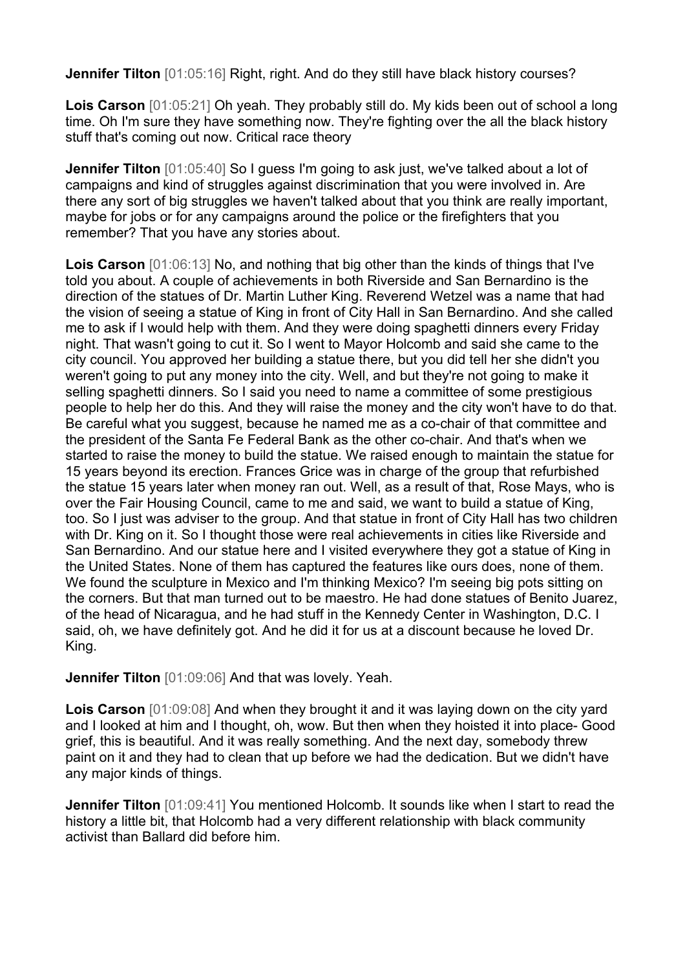**Jennifer Tilton** [01:05:16] Right, right. And do they still have black history courses?

**Lois Carson** [01:05:21] Oh yeah. They probably still do. My kids been out of school a long time. Oh I'm sure they have something now. They're fighting over the all the black history stuff that's coming out now. Critical race theory

**Jennifer Tilton** [01:05:40] So I guess I'm going to ask just, we've talked about a lot of campaigns and kind of struggles against discrimination that you were involved in. Are there any sort of big struggles we haven't talked about that you think are really important, maybe for jobs or for any campaigns around the police or the firefighters that you remember? That you have any stories about.

**Lois Carson** [01:06:13] No, and nothing that big other than the kinds of things that I've told you about. A couple of achievements in both Riverside and San Bernardino is the direction of the statues of Dr. Martin Luther King. Reverend Wetzel was a name that had the vision of seeing a statue of King in front of City Hall in San Bernardino. And she called me to ask if I would help with them. And they were doing spaghetti dinners every Friday night. That wasn't going to cut it. So I went to Mayor Holcomb and said she came to the city council. You approved her building a statue there, but you did tell her she didn't you weren't going to put any money into the city. Well, and but they're not going to make it selling spaghetti dinners. So I said you need to name a committee of some prestigious people to help her do this. And they will raise the money and the city won't have to do that. Be careful what you suggest, because he named me as a co-chair of that committee and the president of the Santa Fe Federal Bank as the other co-chair. And that's when we started to raise the money to build the statue. We raised enough to maintain the statue for 15 years beyond its erection. Frances Grice was in charge of the group that refurbished the statue 15 years later when money ran out. Well, as a result of that, Rose Mays, who is over the Fair Housing Council, came to me and said, we want to build a statue of King, too. So I just was adviser to the group. And that statue in front of City Hall has two children with Dr. King on it. So I thought those were real achievements in cities like Riverside and San Bernardino. And our statue here and I visited everywhere they got a statue of King in the United States. None of them has captured the features like ours does, none of them. We found the sculpture in Mexico and I'm thinking Mexico? I'm seeing big pots sitting on the corners. But that man turned out to be maestro. He had done statues of Benito Juarez, of the head of Nicaragua, and he had stuff in the Kennedy Center in Washington, D.C. I said, oh, we have definitely got. And he did it for us at a discount because he loved Dr. King.

**Jennifer Tilton** [01:09:06] And that was lovely. Yeah.

**Lois Carson** [01:09:08] And when they brought it and it was laying down on the city yard and I looked at him and I thought, oh, wow. But then when they hoisted it into place- Good grief, this is beautiful. And it was really something. And the next day, somebody threw paint on it and they had to clean that up before we had the dedication. But we didn't have any major kinds of things.

**Jennifer Tilton** [01:09:41] You mentioned Holcomb. It sounds like when I start to read the history a little bit, that Holcomb had a very different relationship with black community activist than Ballard did before him.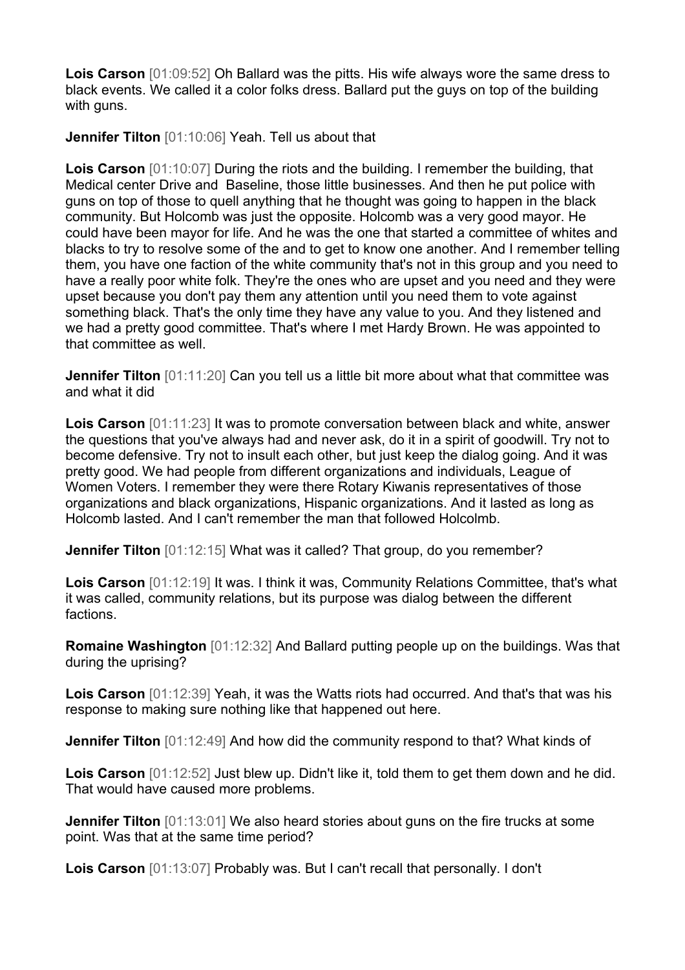**Lois Carson** [01:09:52] Oh Ballard was the pitts. His wife always wore the same dress to black events. We called it a color folks dress. Ballard put the guys on top of the building with guns.

**Jennifer Tilton** [01:10:06] Yeah. Tell us about that

**Lois Carson** [01:10:07] During the riots and the building. I remember the building, that Medical center Drive and Baseline, those little businesses. And then he put police with guns on top of those to quell anything that he thought was going to happen in the black community. But Holcomb was just the opposite. Holcomb was a very good mayor. He could have been mayor for life. And he was the one that started a committee of whites and blacks to try to resolve some of the and to get to know one another. And I remember telling them, you have one faction of the white community that's not in this group and you need to have a really poor white folk. They're the ones who are upset and you need and they were upset because you don't pay them any attention until you need them to vote against something black. That's the only time they have any value to you. And they listened and we had a pretty good committee. That's where I met Hardy Brown. He was appointed to that committee as well.

**Jennifer Tilton** [01:11:20] Can you tell us a little bit more about what that committee was and what it did

**Lois Carson** [01:11:23] It was to promote conversation between black and white, answer the questions that you've always had and never ask, do it in a spirit of goodwill. Try not to become defensive. Try not to insult each other, but just keep the dialog going. And it was pretty good. We had people from different organizations and individuals, League of Women Voters. I remember they were there Rotary Kiwanis representatives of those organizations and black organizations, Hispanic organizations. And it lasted as long as Holcomb lasted. And I can't remember the man that followed Holcolmb.

**Jennifer Tilton** [01:12:15] What was it called? That group, do you remember?

**Lois Carson** [01:12:19] It was. I think it was, Community Relations Committee, that's what it was called, community relations, but its purpose was dialog between the different factions.

**Romaine Washington** [01:12:32] And Ballard putting people up on the buildings. Was that during the uprising?

**Lois Carson** [01:12:39] Yeah, it was the Watts riots had occurred. And that's that was his response to making sure nothing like that happened out here.

**Jennifer Tilton** [01:12:49] And how did the community respond to that? What kinds of

**Lois Carson** [01:12:52] Just blew up. Didn't like it, told them to get them down and he did. That would have caused more problems.

**Jennifer Tilton** [01:13:01] We also heard stories about guns on the fire trucks at some point. Was that at the same time period?

**Lois Carson** [01:13:07] Probably was. But I can't recall that personally. I don't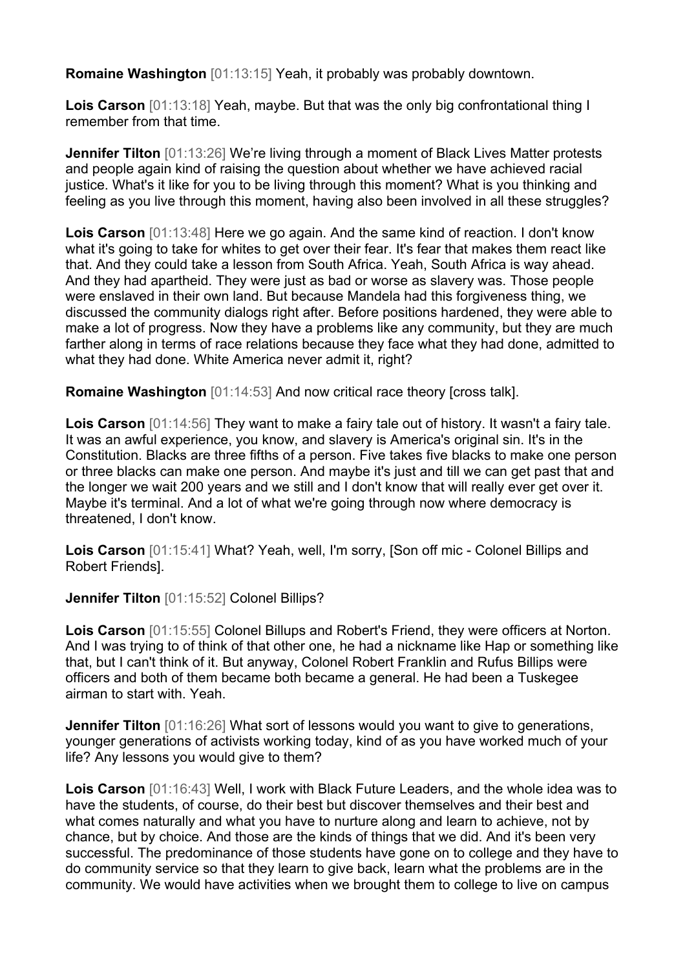**Romaine Washington** [01:13:15] Yeah, it probably was probably downtown.

**Lois Carson** [01:13:18] Yeah, maybe. But that was the only big confrontational thing I remember from that time.

**Jennifer Tilton** [01:13:26] We're living through a moment of Black Lives Matter protests and people again kind of raising the question about whether we have achieved racial justice. What's it like for you to be living through this moment? What is you thinking and feeling as you live through this moment, having also been involved in all these struggles?

**Lois Carson** [01:13:48] Here we go again. And the same kind of reaction. I don't know what it's going to take for whites to get over their fear. It's fear that makes them react like that. And they could take a lesson from South Africa. Yeah, South Africa is way ahead. And they had apartheid. They were just as bad or worse as slavery was. Those people were enslaved in their own land. But because Mandela had this forgiveness thing, we discussed the community dialogs right after. Before positions hardened, they were able to make a lot of progress. Now they have a problems like any community, but they are much farther along in terms of race relations because they face what they had done, admitted to what they had done. White America never admit it, right?

**Romaine Washington** [01:14:53] And now critical race theory [cross talk].

**Lois Carson** [01:14:56] They want to make a fairy tale out of history. It wasn't a fairy tale. It was an awful experience, you know, and slavery is America's original sin. It's in the Constitution. Blacks are three fifths of a person. Five takes five blacks to make one person or three blacks can make one person. And maybe it's just and till we can get past that and the longer we wait 200 years and we still and I don't know that will really ever get over it. Maybe it's terminal. And a lot of what we're going through now where democracy is threatened, I don't know.

**Lois Carson** [01:15:41] What? Yeah, well, I'm sorry, [Son off mic - Colonel Billips and Robert Friends].

**Jennifer Tilton** [01:15:52] Colonel Billips?

**Lois Carson** [01:15:55] Colonel Billups and Robert's Friend, they were officers at Norton. And I was trying to of think of that other one, he had a nickname like Hap or something like that, but I can't think of it. But anyway, Colonel Robert Franklin and Rufus Billips were officers and both of them became both became a general. He had been a Tuskegee airman to start with. Yeah.

**Jennifer Tilton** [01:16:26] What sort of lessons would you want to give to generations, younger generations of activists working today, kind of as you have worked much of your life? Any lessons you would give to them?

**Lois Carson** [01:16:43] Well, I work with Black Future Leaders, and the whole idea was to have the students, of course, do their best but discover themselves and their best and what comes naturally and what you have to nurture along and learn to achieve, not by chance, but by choice. And those are the kinds of things that we did. And it's been very successful. The predominance of those students have gone on to college and they have to do community service so that they learn to give back, learn what the problems are in the community. We would have activities when we brought them to college to live on campus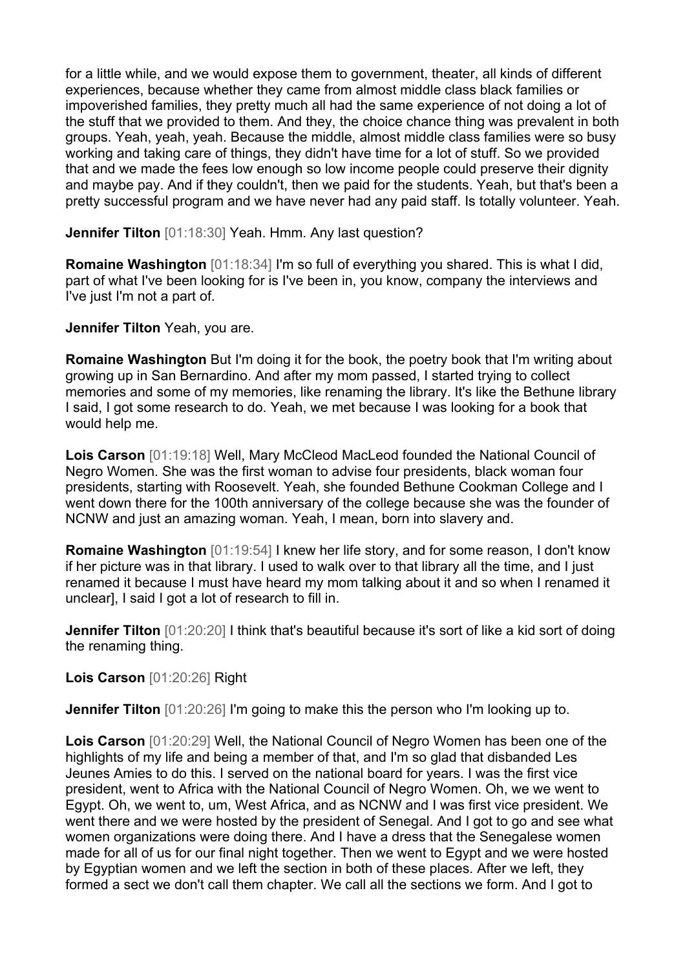for a little while, and we would expose them to government, theater, all kinds of different experiences, because whether they came from almost middle class black families or impoverished families, they pretty much all had the same experience of not doing a lot of the stuff that we provided to them. And they, the choice chance thing was prevalent in both groups. Yeah, yeah, yeah. Because the middle, almost middle class families were so busy working and taking care of things, they didn't have time for a lot of stuff. So we provided that and we made the fees low enough so low income people could preserve their dignity and maybe pay. And if they couldn't, then we paid for the students. Yeah, but that's been a pretty successful program and we have never had any paid staff. Is totally volunteer. Yeah.

**Jennifer Tilton** [01:18:30] Yeah. Hmm. Any last question?

**Romaine Washington** [01:18:34] I'm so full of everything you shared. This is what I did, part of what I've been looking for is I've been in, you know, company the interviews and I've just I'm not a part of.

**Jennifer Tilton** Yeah, you are.

**Romaine Washington** But I'm doing it for the book, the poetry book that I'm writing about growing up in San Bernardino. And after my mom passed, I started trying to collect memories and some of my memories, like renaming the library. It's like the Bethune library I said, I got some research to do. Yeah, we met because I was looking for a book that would help me.

**Lois Carson** [01:19:18] Well, Mary McCleod MacLeod founded the National Council of Negro Women. She was the first woman to advise four presidents, black woman four presidents, starting with Roosevelt. Yeah, she founded Bethune Cookman College and I went down there for the 100th anniversary of the college because she was the founder of NCNW and just an amazing woman. Yeah, I mean, born into slavery and.

**Romaine Washington** [01:19:54] I knew her life story, and for some reason, I don't know if her picture was in that library. I used to walk over to that library all the time, and I just renamed it because I must have heard my mom talking about it and so when I renamed it unclear], I said I got a lot of research to fill in.

**Jennifer Tilton**  $[01:20:20]$  I think that's beautiful because it's sort of like a kid sort of doing the renaming thing.

**Lois Carson** [01:20:26] Right

**Jennifer Tilton** [01:20:26] I'm going to make this the person who I'm looking up to.

**Lois Carson** [01:20:29] Well, the National Council of Negro Women has been one of the highlights of my life and being a member of that, and I'm so glad that disbanded Les Jeunes Amies to do this. I served on the national board for years. I was the first vice president, went to Africa with the National Council of Negro Women. Oh, we we went to Egypt. Oh, we went to, um, West Africa, and as NCNW and I was first vice president. We went there and we were hosted by the president of Senegal. And I got to go and see what women organizations were doing there. And I have a dress that the Senegalese women made for all of us for our final night together. Then we went to Egypt and we were hosted by Egyptian women and we left the section in both of these places. After we left, they formed a sect we don't call them chapter. We call all the sections we form. And I got to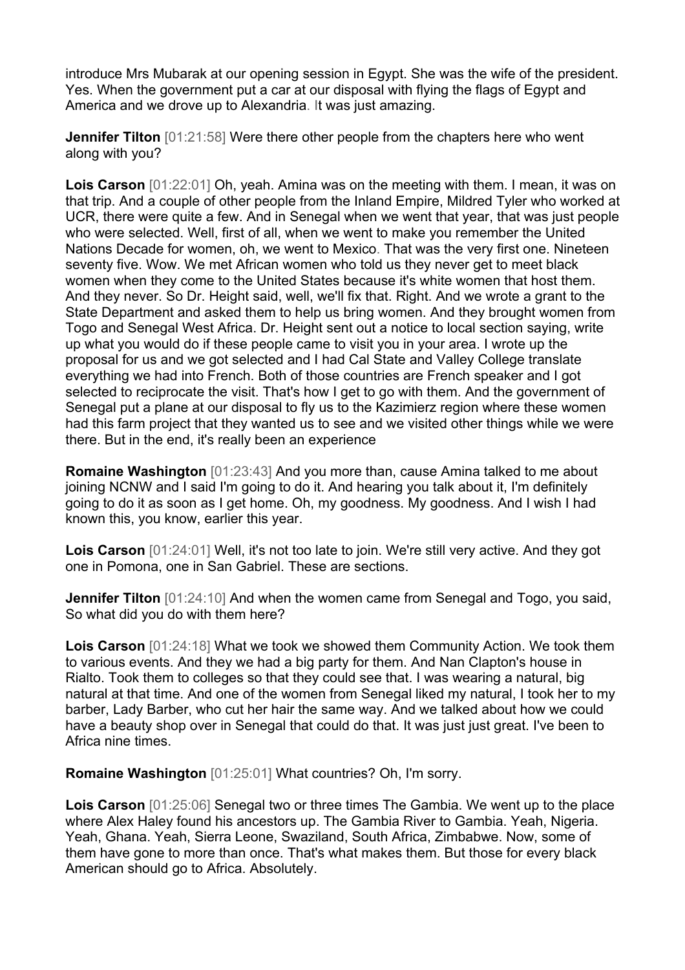introduce Mrs Mubarak at our opening session in Egypt. She was the wife of the president. Yes. When the government put a car at our disposal with flying the flags of Egypt and America and we drove up to Alexandria. It was just amazing.

**Jennifer Tilton** [01:21:58] Were there other people from the chapters here who went along with you?

**Lois Carson** [01:22:01] Oh, yeah. Amina was on the meeting with them. I mean, it was on that trip. And a couple of other people from the Inland Empire, Mildred Tyler who worked at UCR, there were quite a few. And in Senegal when we went that year, that was just people who were selected. Well, first of all, when we went to make you remember the United Nations Decade for women, oh, we went to Mexico. That was the very first one. Nineteen seventy five. Wow. We met African women who told us they never get to meet black women when they come to the United States because it's white women that host them. And they never. So Dr. Height said, well, we'll fix that. Right. And we wrote a grant to the State Department and asked them to help us bring women. And they brought women from Togo and Senegal West Africa. Dr. Height sent out a notice to local section saying, write up what you would do if these people came to visit you in your area. I wrote up the proposal for us and we got selected and I had Cal State and Valley College translate everything we had into French. Both of those countries are French speaker and I got selected to reciprocate the visit. That's how I get to go with them. And the government of Senegal put a plane at our disposal to fly us to the Kazimierz region where these women had this farm project that they wanted us to see and we visited other things while we were there. But in the end, it's really been an experience

**Romaine Washington** [01:23:43] And you more than, cause Amina talked to me about joining NCNW and I said I'm going to do it. And hearing you talk about it, I'm definitely going to do it as soon as I get home. Oh, my goodness. My goodness. And I wish I had known this, you know, earlier this year.

**Lois Carson** [01:24:01] Well, it's not too late to join. We're still very active. And they got one in Pomona, one in San Gabriel. These are sections.

**Jennifer Tilton** [01:24:10] And when the women came from Senegal and Togo, you said, So what did you do with them here?

**Lois Carson** [01:24:18] What we took we showed them Community Action. We took them to various events. And they we had a big party for them. And Nan Clapton's house in Rialto. Took them to colleges so that they could see that. I was wearing a natural, big natural at that time. And one of the women from Senegal liked my natural, I took her to my barber, Lady Barber, who cut her hair the same way. And we talked about how we could have a beauty shop over in Senegal that could do that. It was just just great. I've been to Africa nine times.

**Romaine Washington** [01:25:01] What countries? Oh, I'm sorry.

**Lois Carson** [01:25:06] Senegal two or three times The Gambia. We went up to the place where Alex Haley found his ancestors up. The Gambia River to Gambia. Yeah, Nigeria. Yeah, Ghana. Yeah, Sierra Leone, Swaziland, South Africa, Zimbabwe. Now, some of them have gone to more than once. That's what makes them. But those for every black American should go to Africa. Absolutely.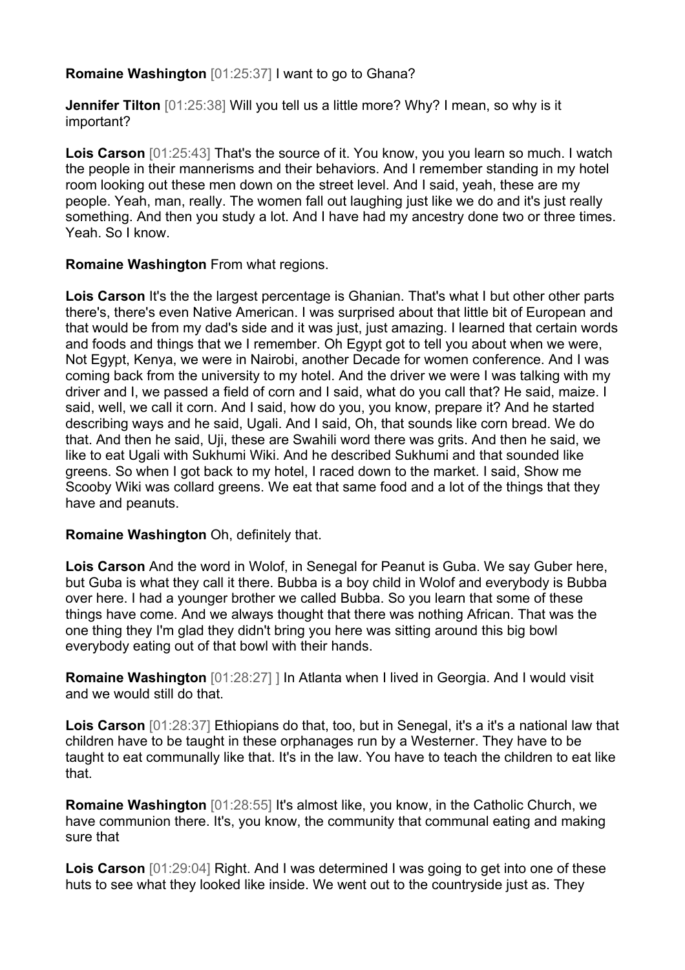## **Romaine Washington** [01:25:37] I want to go to Ghana?

**Jennifer Tilton** [01:25:38] Will you tell us a little more? Why? I mean, so why is it important?

**Lois Carson** [01:25:43] That's the source of it. You know, you you learn so much. I watch the people in their mannerisms and their behaviors. And I remember standing in my hotel room looking out these men down on the street level. And I said, yeah, these are my people. Yeah, man, really. The women fall out laughing just like we do and it's just really something. And then you study a lot. And I have had my ancestry done two or three times. Yeah. So I know.

### **Romaine Washington** From what regions.

**Lois Carson** It's the the largest percentage is Ghanian. That's what I but other other parts there's, there's even Native American. I was surprised about that little bit of European and that would be from my dad's side and it was just, just amazing. I learned that certain words and foods and things that we I remember. Oh Egypt got to tell you about when we were, Not Egypt, Kenya, we were in Nairobi, another Decade for women conference. And I was coming back from the university to my hotel. And the driver we were I was talking with my driver and I, we passed a field of corn and I said, what do you call that? He said, maize. I said, well, we call it corn. And I said, how do you, you know, prepare it? And he started describing ways and he said, Ugali. And I said, Oh, that sounds like corn bread. We do that. And then he said, Uji, these are Swahili word there was grits. And then he said, we like to eat Ugali with Sukhumi Wiki. And he described Sukhumi and that sounded like greens. So when I got back to my hotel, I raced down to the market. I said, Show me Scooby Wiki was collard greens. We eat that same food and a lot of the things that they have and peanuts.

#### **Romaine Washington** Oh, definitely that.

**Lois Carson** And the word in Wolof, in Senegal for Peanut is Guba. We say Guber here, but Guba is what they call it there. Bubba is a boy child in Wolof and everybody is Bubba over here. I had a younger brother we called Bubba. So you learn that some of these things have come. And we always thought that there was nothing African. That was the one thing they I'm glad they didn't bring you here was sitting around this big bowl everybody eating out of that bowl with their hands.

**Romaine Washington**  $[01:28:27]$  I In Atlanta when I lived in Georgia. And I would visit and we would still do that.

Lois Carson [01:28:37] Ethiopians do that, too, but in Senegal, it's a it's a national law that children have to be taught in these orphanages run by a Westerner. They have to be taught to eat communally like that. It's in the law. You have to teach the children to eat like that.

**Romaine Washington** [01:28:55] It's almost like, you know, in the Catholic Church, we have communion there. It's, you know, the community that communal eating and making sure that

**Lois Carson** [01:29:04] Right. And I was determined I was going to get into one of these huts to see what they looked like inside. We went out to the countryside just as. They